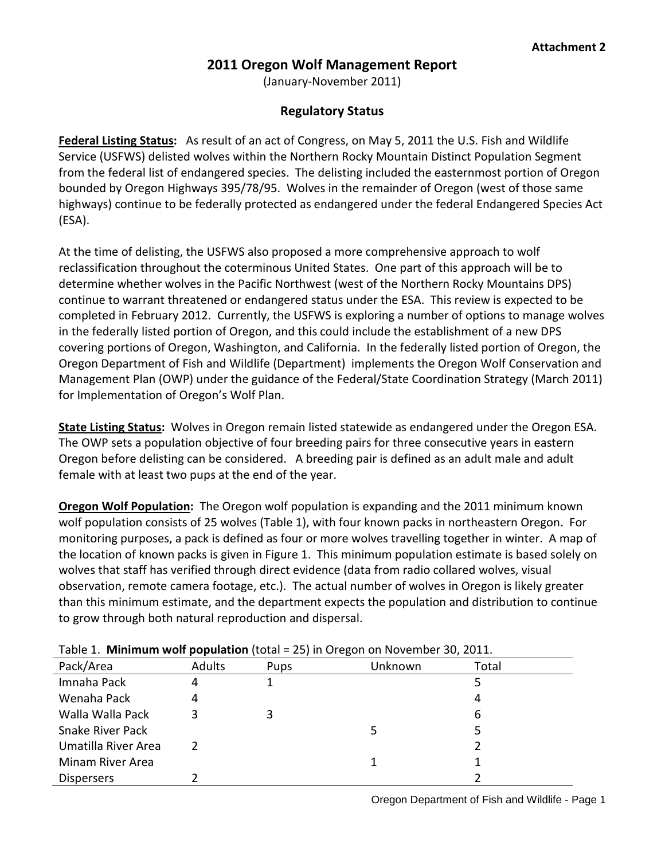## **2011 Oregon Wolf Management Report**

(January-November 2011)

#### **Regulatory Status**

**Federal Listing Status:** As result of an act of Congress, on May 5, 2011 the U.S. Fish and Wildlife Service (USFWS) delisted wolves within the Northern Rocky Mountain Distinct Population Segment from the federal list of endangered species. The delisting included the easternmost portion of Oregon bounded by Oregon Highways 395/78/95. Wolves in the remainder of Oregon (west of those same highways) continue to be federally protected as endangered under the federal Endangered Species Act (ESA).

At the time of delisting, the USFWS also proposed a more comprehensive approach to wolf reclassification throughout the coterminous United States. One part of this approach will be to determine whether wolves in the Pacific Northwest (west of the Northern Rocky Mountains DPS) continue to warrant threatened or endangered status under the ESA. This review is expected to be completed in February 2012. Currently, the USFWS is exploring a number of options to manage wolves in the federally listed portion of Oregon, and this could include the establishment of a new DPS covering portions of Oregon, Washington, and California. In the federally listed portion of Oregon, the Oregon Department of Fish and Wildlife (Department) implements the Oregon Wolf Conservation and Management Plan (OWP) under the guidance of the Federal/State Coordination Strategy (March 2011) for Implementation of Oregon's Wolf Plan.

**State Listing Status:** Wolves in Oregon remain listed statewide as endangered under the Oregon ESA. The OWP sets a population objective of four breeding pairs for three consecutive years in eastern Oregon before delisting can be considered. A breeding pair is defined as an adult male and adult female with at least two pups at the end of the year.

**Oregon Wolf Population:** The Oregon wolf population is expanding and the 2011 minimum known wolf population consists of 25 wolves (Table 1), with four known packs in northeastern Oregon. For monitoring purposes, a pack is defined as four or more wolves travelling together in winter. A map of the location of known packs is given in Figure 1. This minimum population estimate is based solely on wolves that staff has verified through direct evidence (data from radio collared wolves, visual observation, remote camera footage, etc.). The actual number of wolves in Oregon is likely greater than this minimum estimate, and the department expects the population and distribution to continue to grow through both natural reproduction and dispersal.

|                     | Table 1. <b>IVIIIIIIIIIIIIII WOII populatioii</b> (total – 25) III Oregori oli November 50, 2011. |             |         |       |  |  |  |
|---------------------|---------------------------------------------------------------------------------------------------|-------------|---------|-------|--|--|--|
| Pack/Area           | Adults                                                                                            | <b>Pups</b> | Unknown | Total |  |  |  |
| Imnaha Pack         | 4                                                                                                 |             |         |       |  |  |  |
| Wenaha Pack         | 4                                                                                                 |             |         | 4     |  |  |  |
| Walla Walla Pack    |                                                                                                   |             |         | 6     |  |  |  |
| Snake River Pack    |                                                                                                   |             | 5       |       |  |  |  |
| Umatilla River Area |                                                                                                   |             |         |       |  |  |  |
| Minam River Area    |                                                                                                   |             |         |       |  |  |  |
| <b>Dispersers</b>   |                                                                                                   |             |         |       |  |  |  |

Table 1. **Minimum wolf population** (total = 25) in Oregon on November 30, 2011.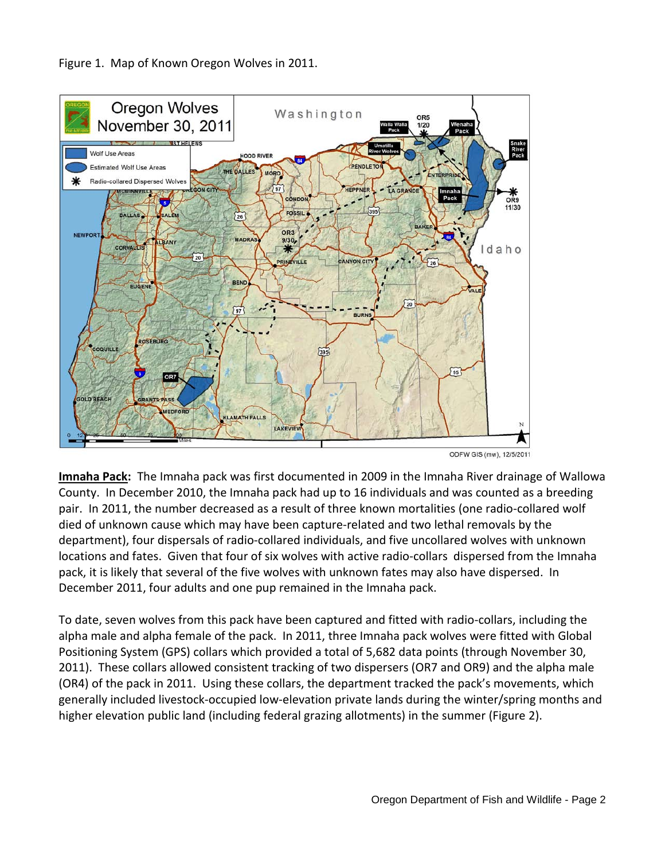Figure 1.Map of Known Oregon Wolves in 2011.



**Imnaha Pack:** The Imnaha pack was first documented in 2009 in the Imnaha River drainage of Wallowa County. In December 2010, the Imnaha pack had up to 16 individuals and was counted as a breeding pair. In 2011, the number decreased as a result of three known mortalities (one radio-collared wolf died of unknown cause which may have been capture-related and two lethal removals by the department), four dispersals of radio-collared individuals, and five uncollared wolves with unknown locations and fates. Given that four of six wolves with active radio-collars dispersed from the Imnaha pack, it is likely that several of the five wolves with unknown fates may also have dispersed. In December 2011, four adults and one pup remained in the Imnaha pack.

To date, seven wolves from this pack have been captured and fitted with radio-collars, including the alpha male and alpha female of the pack. In 2011, three Imnaha pack wolves were fitted with Global Positioning System (GPS) collars which provided a total of 5,682 data points (through November 30, 2011). These collars allowed consistent tracking of two dispersers (OR7 and OR9) and the alpha male (OR4) of the pack in 2011. Using these collars, the department tracked the pack's movements, which generally included livestock-occupied low-elevation private lands during the winter/spring months and higher elevation public land (including federal grazing allotments) in the summer (Figure 2).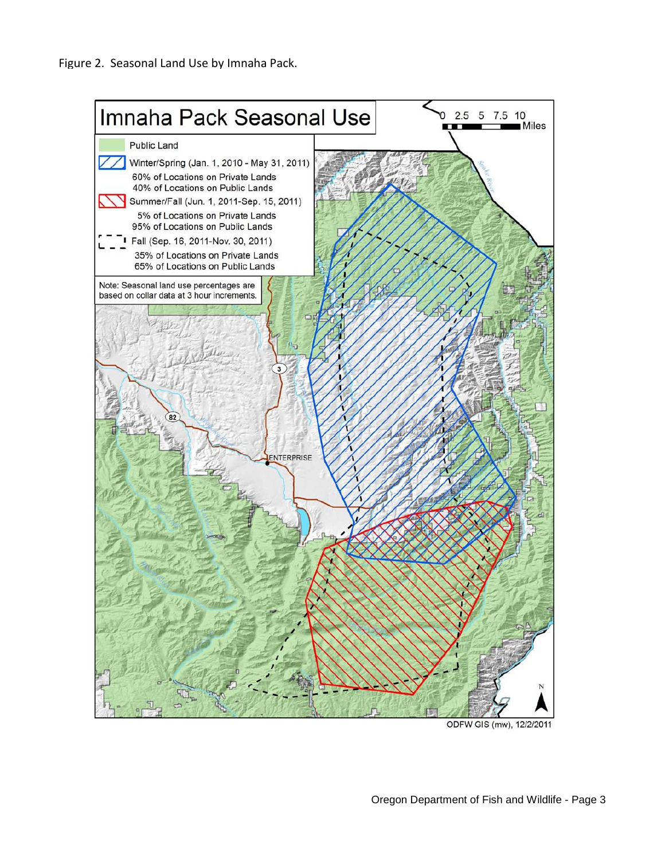

ODFW GIS (mw), 12/2/2011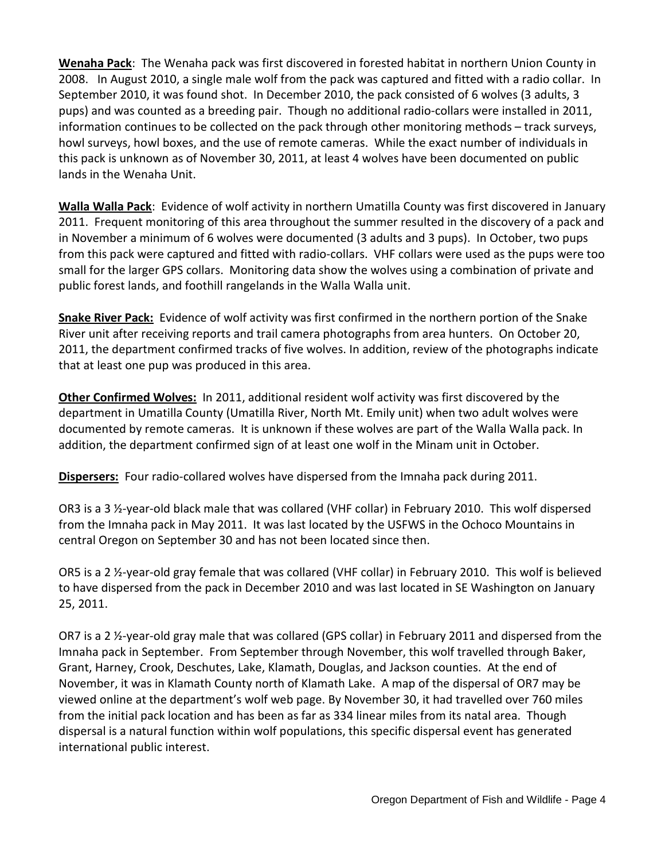**Wenaha Pack**: The Wenaha pack was first discovered in forested habitat in northern Union County in 2008. In August 2010, a single male wolf from the pack was captured and fitted with a radio collar. In September 2010, it was found shot. In December 2010, the pack consisted of 6 wolves (3 adults, 3 pups) and was counted as a breeding pair. Though no additional radio-collars were installed in 2011, information continues to be collected on the pack through other monitoring methods – track surveys, howl surveys, howl boxes, and the use of remote cameras. While the exact number of individuals in this pack is unknown as of November 30, 2011, at least 4 wolves have been documented on public lands in the Wenaha Unit.

**Walla Walla Pack**: Evidence of wolf activity in northern Umatilla County was first discovered in January 2011. Frequent monitoring of this area throughout the summer resulted in the discovery of a pack and in November a minimum of 6 wolves were documented (3 adults and 3 pups). In October, two pups from this pack were captured and fitted with radio-collars. VHF collars were used as the pups were too small for the larger GPS collars. Monitoring data show the wolves using a combination of private and public forest lands, and foothill rangelands in the Walla Walla unit.

**Snake River Pack:** Evidence of wolf activity was first confirmed in the northern portion of the Snake River unit after receiving reports and trail camera photographs from area hunters. On October 20, 2011, the department confirmed tracks of five wolves. In addition, review of the photographs indicate that at least one pup was produced in this area.

**Other Confirmed Wolves:** In 2011, additional resident wolf activity was first discovered by the department in Umatilla County (Umatilla River, North Mt. Emily unit) when two adult wolves were documented by remote cameras. It is unknown if these wolves are part of the Walla Walla pack. In addition, the department confirmed sign of at least one wolf in the Minam unit in October.

**Dispersers:** Four radio-collared wolves have dispersed from the Imnaha pack during 2011.

OR3 is a 3 ½-year-old black male that was collared (VHF collar) in February 2010. This wolf dispersed from the Imnaha pack in May 2011. It was last located by the USFWS in the Ochoco Mountains in central Oregon on September 30 and has not been located since then.

OR5 is a 2 ½-year-old gray female that was collared (VHF collar) in February 2010. This wolf is believed to have dispersed from the pack in December 2010 and was last located in SE Washington on January 25, 2011.

OR7 is a 2 ½-year-old gray male that was collared (GPS collar) in February 2011 and dispersed from the Imnaha pack in September. From September through November, this wolf travelled through Baker, Grant, Harney, Crook, Deschutes, Lake, Klamath, Douglas, and Jackson counties. At the end of November, it was in Klamath County north of Klamath Lake. A map of the dispersal of OR7 may be viewed online at the department's wolf web page. By November 30, it had travelled over 760 miles from the initial pack location and has been as far as 334 linear miles from its natal area. Though dispersal is a natural function within wolf populations, this specific dispersal event has generated international public interest.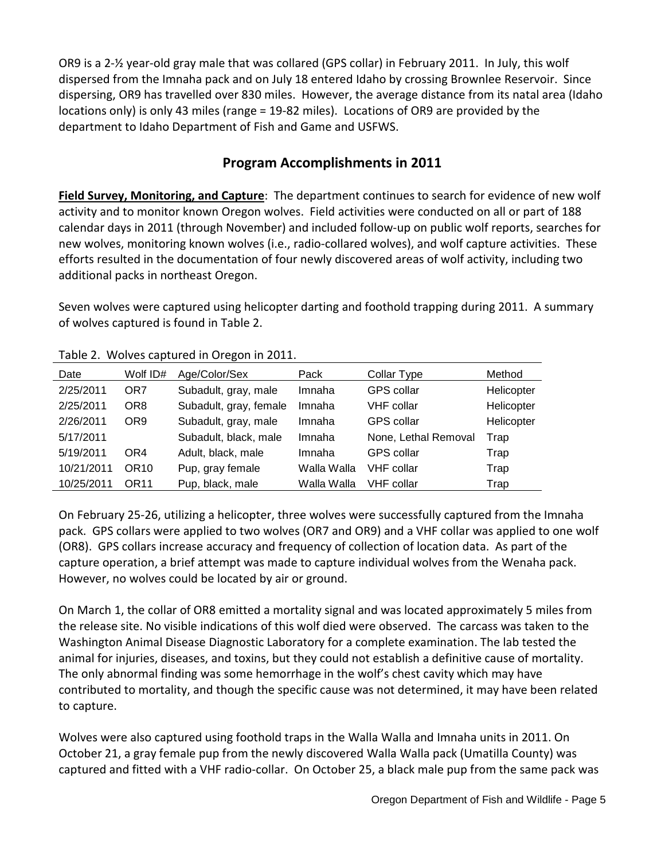OR9 is a 2-½ year-old gray male that was collared (GPS collar) in February 2011. In July, this wolf dispersed from the Imnaha pack and on July 18 entered Idaho by crossing Brownlee Reservoir. Since dispersing, OR9 has travelled over 830 miles. However, the average distance from its natal area (Idaho locations only) is only 43 miles (range = 19-82 miles). Locations of OR9 are provided by the department to Idaho Department of Fish and Game and USFWS.

# **Program Accomplishments in 2011**

**Field Survey, Monitoring, and Capture**: The department continues to search for evidence of new wolf activity and to monitor known Oregon wolves. Field activities were conducted on all or part of 188 calendar days in 2011 (through November) and included follow-up on public wolf reports, searches for new wolves, monitoring known wolves (i.e., radio-collared wolves), and wolf capture activities. These efforts resulted in the documentation of four newly discovered areas of wolf activity, including two additional packs in northeast Oregon.

Seven wolves were captured using helicopter darting and foothold trapping during 2011. A summary of wolves captured is found in Table 2.

| Date       | Wolf ID#         | Age/Color/Sex          | Pack        | Collar Type          | Method     |
|------------|------------------|------------------------|-------------|----------------------|------------|
| 2/25/2011  | OR7              | Subadult, gray, male   | Imnaha      | <b>GPS</b> collar    | Helicopter |
| 2/25/2011  | OR <sub>8</sub>  | Subadult, gray, female | Imnaha      | <b>VHF</b> collar    | Helicopter |
| 2/26/2011  | OR <sub>9</sub>  | Subadult, gray, male   | Imnaha      | <b>GPS</b> collar    | Helicopter |
| 5/17/2011  |                  | Subadult, black, male  | Imnaha      | None, Lethal Removal | Trap       |
| 5/19/2011  | OR4              | Adult, black, male     | Imnaha      | <b>GPS</b> collar    | Trap       |
| 10/21/2011 | OR <sub>10</sub> | Pup, gray female       | Walla Walla | <b>VHF</b> collar    | Trap       |
| 10/25/2011 | OR <sub>11</sub> | Pup, black, male       | Walla Walla | <b>VHF</b> collar    | Trap       |

Table 2. Wolves captured in Oregon in 2011.

On February 25-26, utilizing a helicopter, three wolves were successfully captured from the Imnaha pack. GPS collars were applied to two wolves (OR7 and OR9) and a VHF collar was applied to one wolf (OR8). GPS collars increase accuracy and frequency of collection of location data. As part of the capture operation, a brief attempt was made to capture individual wolves from the Wenaha pack. However, no wolves could be located by air or ground.

On March 1, the collar of OR8 emitted a mortality signal and was located approximately 5 miles from the release site. No visible indications of this wolf died were observed. The carcass was taken to the Washington Animal Disease Diagnostic Laboratory for a complete examination. The lab tested the animal for injuries, diseases, and toxins, but they could not establish a definitive cause of mortality. The only abnormal finding was some hemorrhage in the wolf's chest cavity which may have contributed to mortality, and though the specific cause was not determined, it may have been related to capture.

Wolves were also captured using foothold traps in the Walla Walla and Imnaha units in 2011. On October 21, a gray female pup from the newly discovered Walla Walla pack (Umatilla County) was captured and fitted with a VHF radio-collar. On October 25, a black male pup from the same pack was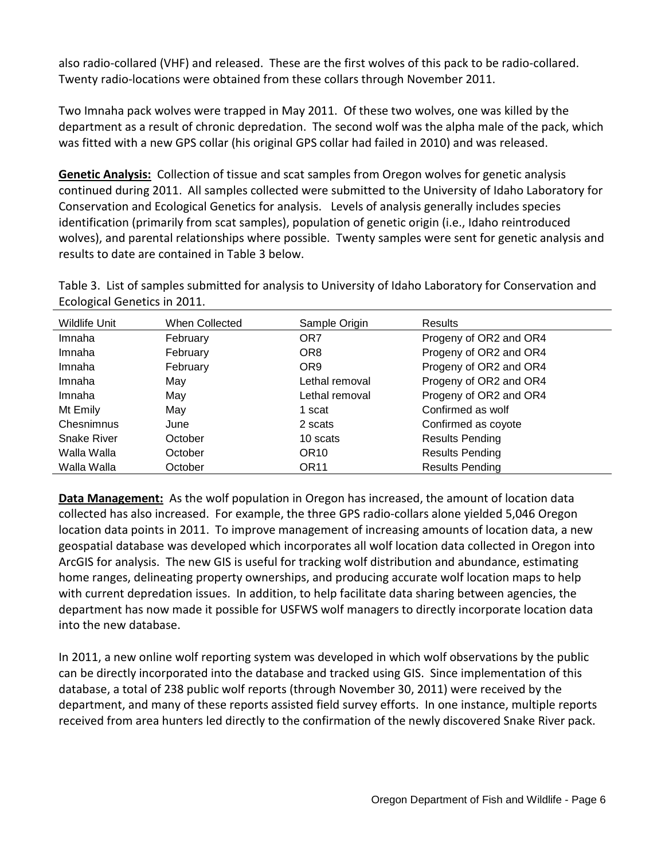also radio-collared (VHF) and released. These are the first wolves of this pack to be radio-collared. Twenty radio-locations were obtained from these collars through November 2011.

Two Imnaha pack wolves were trapped in May 2011. Of these two wolves, one was killed by the department as a result of chronic depredation. The second wolf was the alpha male of the pack, which was fitted with a new GPS collar (his original GPS collar had failed in 2010) and was released.

**Genetic Analysis:** Collection of tissue and scat samples from Oregon wolves for genetic analysis continued during 2011. All samples collected were submitted to the University of Idaho Laboratory for Conservation and Ecological Genetics for analysis. Levels of analysis generally includes species identification (primarily from scat samples), population of genetic origin (i.e., Idaho reintroduced wolves), and parental relationships where possible. Twenty samples were sent for genetic analysis and results to date are contained in Table 3 below.

Table 3. List of samples submitted for analysis to University of Idaho Laboratory for Conservation and Ecological Genetics in 2011.

| Wildlife Unit | When Collected | Sample Origin    | <b>Results</b>         |
|---------------|----------------|------------------|------------------------|
| Imnaha        | February       | OR <sub>7</sub>  | Progeny of OR2 and OR4 |
| Imnaha        | February       | OR <sub>8</sub>  | Progeny of OR2 and OR4 |
| Imnaha        | February       | OR <sub>9</sub>  | Progeny of OR2 and OR4 |
| Imnaha        | May            | Lethal removal   | Progeny of OR2 and OR4 |
| Imnaha        | May            | Lethal removal   | Progeny of OR2 and OR4 |
| Mt Emily      | May            | 1 scat           | Confirmed as wolf      |
| Chesnimnus    | June           | 2 scats          | Confirmed as coyote    |
| Snake River   | October        | 10 scats         | <b>Results Pending</b> |
| Walla Walla   | October        | OR <sub>10</sub> | <b>Results Pending</b> |
| Walla Walla   | October        | OR <sub>11</sub> | <b>Results Pending</b> |

**Data Management:** As the wolf population in Oregon has increased, the amount of location data collected has also increased. For example, the three GPS radio-collars alone yielded 5,046 Oregon location data points in 2011. To improve management of increasing amounts of location data, a new geospatial database was developed which incorporates all wolf location data collected in Oregon into ArcGIS for analysis. The new GIS is useful for tracking wolf distribution and abundance, estimating home ranges, delineating property ownerships, and producing accurate wolf location maps to help with current depredation issues. In addition, to help facilitate data sharing between agencies, the department has now made it possible for USFWS wolf managers to directly incorporate location data into the new database.

In 2011, a new online wolf reporting system was developed in which wolf observations by the public can be directly incorporated into the database and tracked using GIS. Since implementation of this database, a total of 238 public wolf reports (through November 30, 2011) were received by the department, and many of these reports assisted field survey efforts. In one instance, multiple reports received from area hunters led directly to the confirmation of the newly discovered Snake River pack.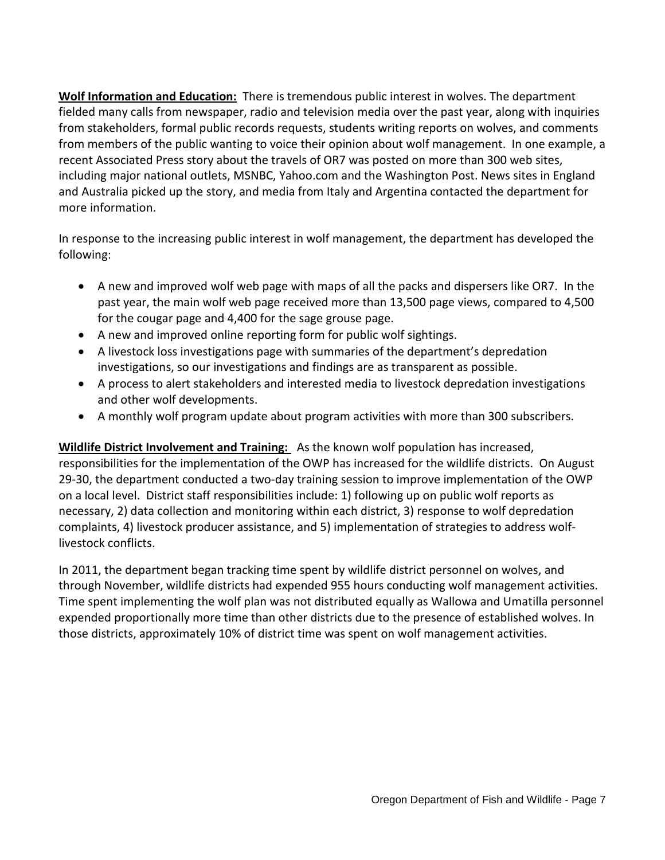**Wolf Information and Education:** There is tremendous public interest in wolves. The department fielded many calls from newspaper, radio and television media over the past year, along with inquiries from stakeholders, formal public records requests, students writing reports on wolves, and comments from members of the public wanting to voice their opinion about wolf management. In one example, a recent Associated Press story about the travels of OR7 was posted on more than 300 web sites, including major national outlets, MSNBC, Yahoo.com and the Washington Post. News sites in England and Australia picked up the story, and media from Italy and Argentina contacted the department for more information.

In response to the increasing public interest in wolf management, the department has developed the following:

- A new and improved wolf web page with maps of all the packs and dispersers like OR7. In the past year, the main wolf web page received more than 13,500 page views, compared to 4,500 for the cougar page and 4,400 for the sage grouse page.
- A new and improved online reporting form for public wolf sightings.
- A livestock loss investigations page with summaries of the department's depredation investigations, so our investigations and findings are as transparent as possible.
- A process to alert stakeholders and interested media to livestock depredation investigations and other wolf developments.
- A monthly wolf program update about program activities with more than 300 subscribers.

**Wildlife District Involvement and Training:** As the known wolf population has increased, responsibilities for the implementation of the OWP has increased for the wildlife districts. On August 29-30, the department conducted a two-day training session to improve implementation of the OWP on a local level. District staff responsibilities include: 1) following up on public wolf reports as necessary, 2) data collection and monitoring within each district, 3) response to wolf depredation complaints, 4) livestock producer assistance, and 5) implementation of strategies to address wolflivestock conflicts.

In 2011, the department began tracking time spent by wildlife district personnel on wolves, and through November, wildlife districts had expended 955 hours conducting wolf management activities. Time spent implementing the wolf plan was not distributed equally as Wallowa and Umatilla personnel expended proportionally more time than other districts due to the presence of established wolves. In those districts, approximately 10% of district time was spent on wolf management activities.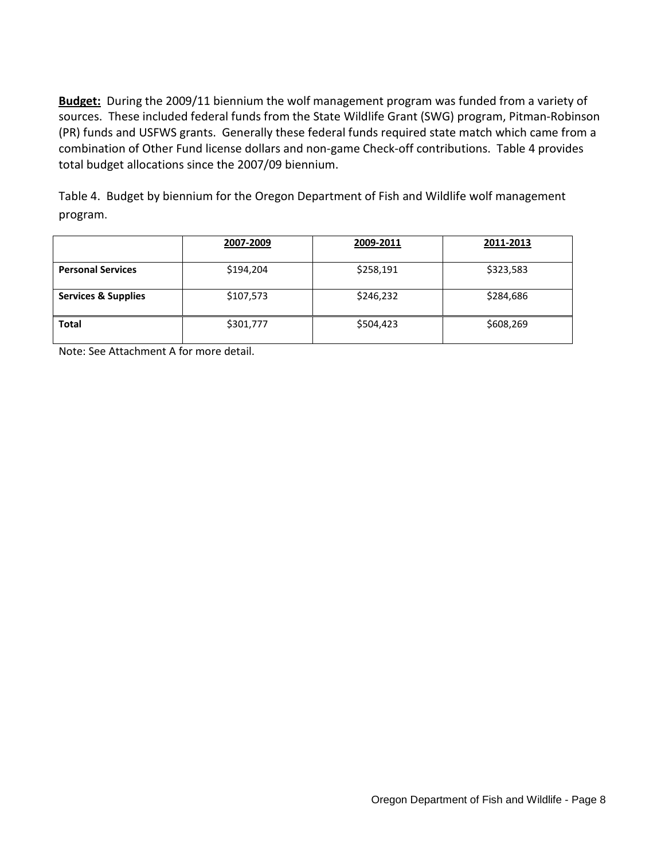**Budget:** During the 2009/11 biennium the wolf management program was funded from a variety of sources. These included federal funds from the State Wildlife Grant (SWG) program, Pitman-Robinson (PR) funds and USFWS grants. Generally these federal funds required state match which came from a combination of Other Fund license dollars and non-game Check-off contributions. Table 4 provides total budget allocations since the 2007/09 biennium.

Table 4. Budget by biennium for the Oregon Department of Fish and Wildlife wolf management program.

|                                | 2007-2009 | 2009-2011 | 2011-2013 |
|--------------------------------|-----------|-----------|-----------|
| <b>Personal Services</b>       | \$194,204 | \$258,191 | \$323,583 |
| <b>Services &amp; Supplies</b> | \$107,573 | \$246,232 | \$284,686 |
| <b>Total</b>                   | \$301,777 | \$504,423 | \$608,269 |

Note: See Attachment A for more detail.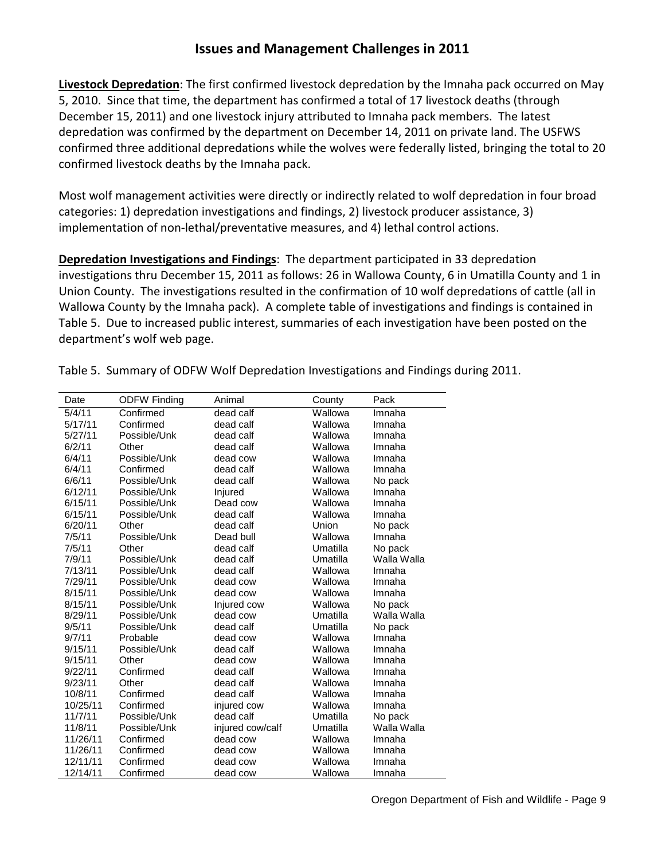## **Issues and Management Challenges in 2011**

**Livestock Depredation**: The first confirmed livestock depredation by the Imnaha pack occurred on May 5, 2010. Since that time, the department has confirmed a total of 17 livestock deaths (through December 15, 2011) and one livestock injury attributed to Imnaha pack members. The latest depredation was confirmed by the department on December 14, 2011 on private land. The USFWS confirmed three additional depredations while the wolves were federally listed, bringing the total to 20 confirmed livestock deaths by the Imnaha pack.

Most wolf management activities were directly or indirectly related to wolf depredation in four broad categories: 1) depredation investigations and findings, 2) livestock producer assistance, 3) implementation of non-lethal/preventative measures, and 4) lethal control actions.

**Depredation Investigations and Findings**: The department participated in 33 depredation investigations thru December 15, 2011 as follows: 26 in Wallowa County, 6 in Umatilla County and 1 in Union County. The investigations resulted in the confirmation of 10 wolf depredations of cattle (all in Wallowa County by the Imnaha pack). A complete table of investigations and findings is contained in Table 5. Due to increased public interest, summaries of each investigation have been posted on the department's wolf web page.

| Date     | <b>ODFW Finding</b> | Animal           | County   | Pack        |
|----------|---------------------|------------------|----------|-------------|
| 5/4/11   | Confirmed           | dead calf        | Wallowa  | Imnaha      |
| 5/17/11  | Confirmed           | dead calf        | Wallowa  | Imnaha      |
| 5/27/11  | Possible/Unk        | dead calf        | Wallowa  | Imnaha      |
| 6/2/11   | Other               | dead calf        | Wallowa  | Imnaha      |
| 6/4/11   | Possible/Unk        | dead cow         | Wallowa  | Imnaha      |
| 6/4/11   | Confirmed           | dead calf        | Wallowa  | Imnaha      |
| 6/6/11   | Possible/Unk        | dead calf        | Wallowa  | No pack     |
| 6/12/11  | Possible/Unk        | Injured          | Wallowa  | Imnaha      |
| 6/15/11  | Possible/Unk        | Dead cow         | Wallowa  | Imnaha      |
| 6/15/11  | Possible/Unk        | dead calf        | Wallowa  | Imnaha      |
| 6/20/11  | Other               | dead calf        | Union    | No pack     |
| 7/5/11   | Possible/Unk        | Dead bull        | Wallowa  | Imnaha      |
| 7/5/11   | Other               | dead calf        | Umatilla | No pack     |
| 7/9/11   | Possible/Unk        | dead calf        | Umatilla | Walla Walla |
| 7/13/11  | Possible/Unk        | dead calf        | Wallowa  | Imnaha      |
| 7/29/11  | Possible/Unk        | dead cow         | Wallowa  | Imnaha      |
| 8/15/11  | Possible/Unk        | dead cow         | Wallowa  | Imnaha      |
| 8/15/11  | Possible/Unk        | Injured cow      | Wallowa  | No pack     |
| 8/29/11  | Possible/Unk        | dead cow         | Umatilla | Walla Walla |
| 9/5/11   | Possible/Unk        | dead calf        | Umatilla | No pack     |
| 9/7/11   | Probable            | dead cow         | Wallowa  | Imnaha      |
| 9/15/11  | Possible/Unk        | dead calf        | Wallowa  | Imnaha      |
| 9/15/11  | Other               | dead cow         | Wallowa  | Imnaha      |
| 9/22/11  | Confirmed           | dead calf        | Wallowa  | Imnaha      |
| 9/23/11  | Other               | dead calf        | Wallowa  | Imnaha      |
| 10/8/11  | Confirmed           | dead calf        | Wallowa  | Imnaha      |
| 10/25/11 | Confirmed           | injured cow      | Wallowa  | Imnaha      |
| 11/7/11  | Possible/Unk        | dead calf        | Umatilla | No pack     |
| 11/8/11  | Possible/Unk        | injured cow/calf | Umatilla | Walla Walla |
| 11/26/11 | Confirmed           | dead cow         | Wallowa  | Imnaha      |
| 11/26/11 | Confirmed           | dead cow         | Wallowa  | Imnaha      |
| 12/11/11 | Confirmed           | dead cow         | Wallowa  | Imnaha      |
| 12/14/11 | Confirmed           | dead cow         | Wallowa  | Imnaha      |

Table 5.Summary of ODFW Wolf Depredation Investigations and Findings during 2011.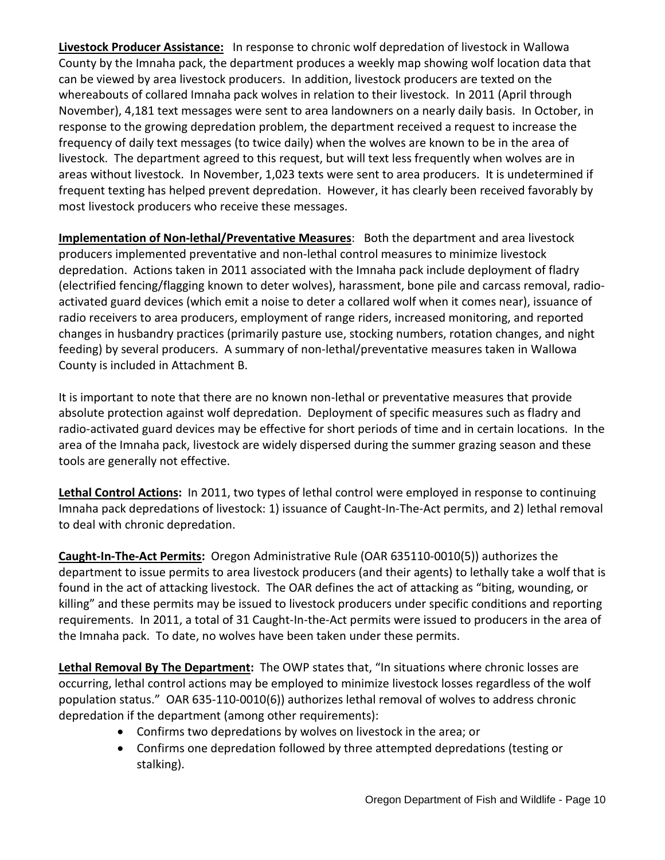**Livestock Producer Assistance:** In response to chronic wolf depredation of livestock in Wallowa County by the Imnaha pack, the department produces a weekly map showing wolf location data that can be viewed by area livestock producers. In addition, livestock producers are texted on the whereabouts of collared Imnaha pack wolves in relation to their livestock. In 2011 (April through November), 4,181 text messages were sent to area landowners on a nearly daily basis. In October, in response to the growing depredation problem, the department received a request to increase the frequency of daily text messages (to twice daily) when the wolves are known to be in the area of livestock. The department agreed to this request, but will text less frequently when wolves are in areas without livestock. In November, 1,023 texts were sent to area producers. It is undetermined if frequent texting has helped prevent depredation. However, it has clearly been received favorably by most livestock producers who receive these messages.

**Implementation of Non-lethal/Preventative Measures**: Both the department and area livestock producers implemented preventative and non-lethal control measures to minimize livestock depredation. Actions taken in 2011 associated with the Imnaha pack include deployment of fladry (electrified fencing/flagging known to deter wolves), harassment, bone pile and carcass removal, radioactivated guard devices (which emit a noise to deter a collared wolf when it comes near), issuance of radio receivers to area producers, employment of range riders, increased monitoring, and reported changes in husbandry practices (primarily pasture use, stocking numbers, rotation changes, and night feeding) by several producers. A summary of non-lethal/preventative measures taken in Wallowa County is included in Attachment B.

It is important to note that there are no known non-lethal or preventative measures that provide absolute protection against wolf depredation. Deployment of specific measures such as fladry and radio-activated guard devices may be effective for short periods of time and in certain locations. In the area of the Imnaha pack, livestock are widely dispersed during the summer grazing season and these tools are generally not effective.

**Lethal Control Actions:** In 2011, two types of lethal control were employed in response to continuing Imnaha pack depredations of livestock: 1) issuance of Caught-In-The-Act permits, and 2) lethal removal to deal with chronic depredation.

**Caught-In-The-Act Permits:** Oregon Administrative Rule (OAR 635110-0010(5)) authorizes the department to issue permits to area livestock producers (and their agents) to lethally take a wolf that is found in the act of attacking livestock. The OAR defines the act of attacking as "biting, wounding, or killing" and these permits may be issued to livestock producers under specific conditions and reporting requirements. In 2011, a total of 31 Caught-In-the-Act permits were issued to producers in the area of the Imnaha pack. To date, no wolves have been taken under these permits.

**Lethal Removal By The Department:** The OWP states that, "In situations where chronic losses are occurring, lethal control actions may be employed to minimize livestock losses regardless of the wolf population status." OAR 635-110-0010(6)) authorizes lethal removal of wolves to address chronic depredation if the department (among other requirements):

- Confirms two depredations by wolves on livestock in the area; or
- Confirms one depredation followed by three attempted depredations (testing or stalking).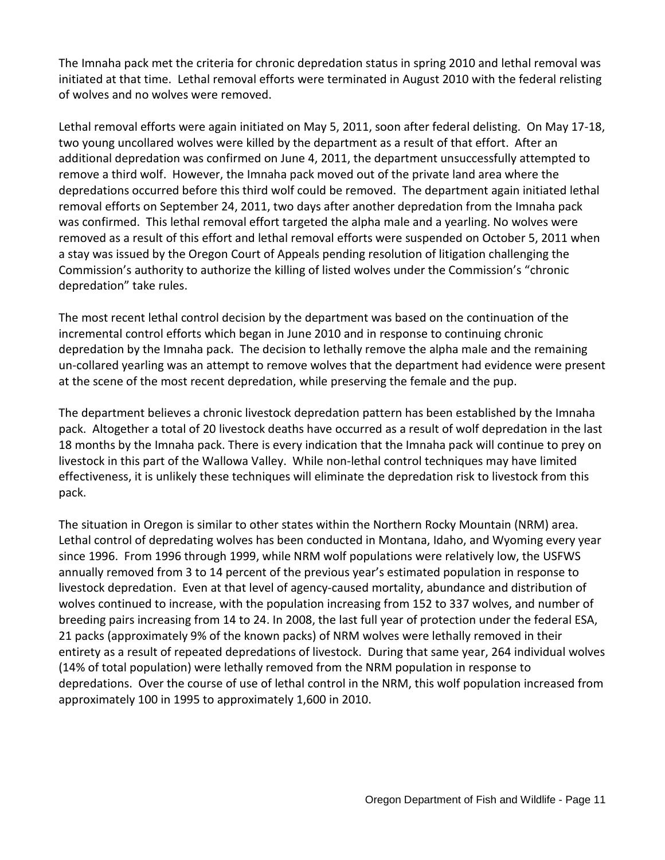The Imnaha pack met the criteria for chronic depredation status in spring 2010 and lethal removal was initiated at that time. Lethal removal efforts were terminated in August 2010 with the federal relisting of wolves and no wolves were removed.

Lethal removal efforts were again initiated on May 5, 2011, soon after federal delisting. On May 17-18, two young uncollared wolves were killed by the department as a result of that effort. After an additional depredation was confirmed on June 4, 2011, the department unsuccessfully attempted to remove a third wolf. However, the Imnaha pack moved out of the private land area where the depredations occurred before this third wolf could be removed. The department again initiated lethal removal efforts on September 24, 2011, two days after another depredation from the Imnaha pack was confirmed. This lethal removal effort targeted the alpha male and a yearling. No wolves were removed as a result of this effort and lethal removal efforts were suspended on October 5, 2011 when a stay was issued by the Oregon Court of Appeals pending resolution of litigation challenging the Commission's authority to authorize the killing of listed wolves under the Commission's "chronic depredation" take rules.

The most recent lethal control decision by the department was based on the continuation of the incremental control efforts which began in June 2010 and in response to continuing chronic depredation by the Imnaha pack. The decision to lethally remove the alpha male and the remaining un-collared yearling was an attempt to remove wolves that the department had evidence were present at the scene of the most recent depredation, while preserving the female and the pup.

The department believes a chronic livestock depredation pattern has been established by the Imnaha pack. Altogether a total of 20 livestock deaths have occurred as a result of wolf depredation in the last 18 months by the Imnaha pack. There is every indication that the Imnaha pack will continue to prey on livestock in this part of the Wallowa Valley. While non-lethal control techniques may have limited effectiveness, it is unlikely these techniques will eliminate the depredation risk to livestock from this pack.

The situation in Oregon is similar to other states within the Northern Rocky Mountain (NRM) area. Lethal control of depredating wolves has been conducted in Montana, Idaho, and Wyoming every year since 1996. From 1996 through 1999, while NRM wolf populations were relatively low, the USFWS annually removed from 3 to 14 percent of the previous year's estimated population in response to livestock depredation. Even at that level of agency-caused mortality, abundance and distribution of wolves continued to increase, with the population increasing from 152 to 337 wolves, and number of breeding pairs increasing from 14 to 24. In 2008, the last full year of protection under the federal ESA, 21 packs (approximately 9% of the known packs) of NRM wolves were lethally removed in their entirety as a result of repeated depredations of livestock. During that same year, 264 individual wolves (14% of total population) were lethally removed from the NRM population in response to depredations. Over the course of use of lethal control in the NRM, this wolf population increased from approximately 100 in 1995 to approximately 1,600 in 2010.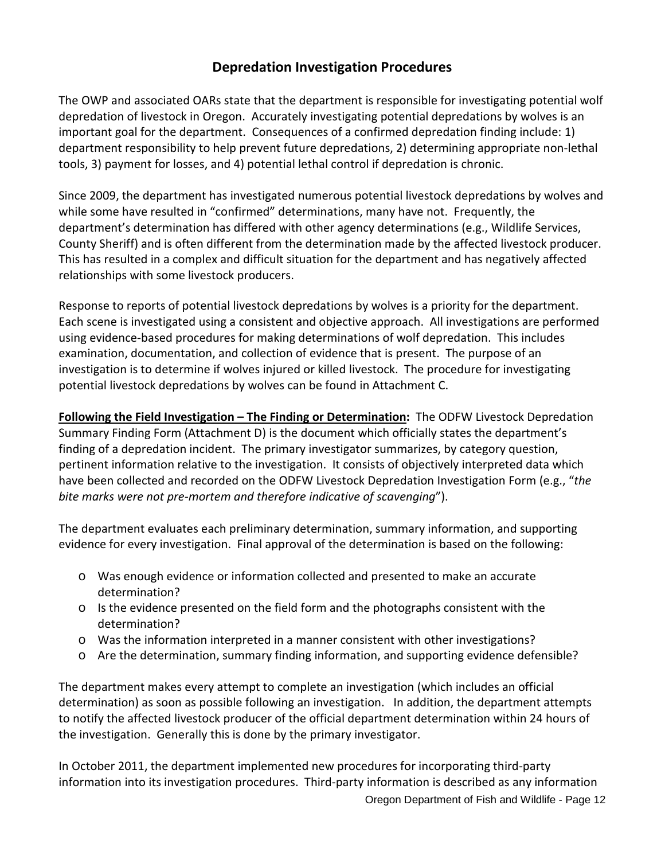# **Depredation Investigation Procedures**

The OWP and associated OARs state that the department is responsible for investigating potential wolf depredation of livestock in Oregon. Accurately investigating potential depredations by wolves is an important goal for the department. Consequences of a confirmed depredation finding include: 1) department responsibility to help prevent future depredations, 2) determining appropriate non-lethal tools, 3) payment for losses, and 4) potential lethal control if depredation is chronic.

Since 2009, the department has investigated numerous potential livestock depredations by wolves and while some have resulted in "confirmed" determinations, many have not. Frequently, the department's determination has differed with other agency determinations (e.g., Wildlife Services, County Sheriff) and is often different from the determination made by the affected livestock producer. This has resulted in a complex and difficult situation for the department and has negatively affected relationships with some livestock producers.

Response to reports of potential livestock depredations by wolves is a priority for the department. Each scene is investigated using a consistent and objective approach. All investigations are performed using evidence-based procedures for making determinations of wolf depredation. This includes examination, documentation, and collection of evidence that is present. The purpose of an investigation is to determine if wolves injured or killed livestock. The procedure for investigating potential livestock depredations by wolves can be found in Attachment C.

**Following the Field Investigation – The Finding or Determination:** The ODFW Livestock Depredation Summary Finding Form (Attachment D) is the document which officially states the department's finding of a depredation incident. The primary investigator summarizes, by category question, pertinent information relative to the investigation. It consists of objectively interpreted data which have been collected and recorded on the ODFW Livestock Depredation Investigation Form (e.g., "*the bite marks were not pre-mortem and therefore indicative of scavenging*").

The department evaluates each preliminary determination, summary information, and supporting evidence for every investigation. Final approval of the determination is based on the following:

- o Was enough evidence or information collected and presented to make an accurate determination?
- o Is the evidence presented on the field form and the photographs consistent with the determination?
- o Was the information interpreted in a manner consistent with other investigations?
- o Are the determination, summary finding information, and supporting evidence defensible?

The department makes every attempt to complete an investigation (which includes an official determination) as soon as possible following an investigation. In addition, the department attempts to notify the affected livestock producer of the official department determination within 24 hours of the investigation. Generally this is done by the primary investigator.

In October 2011, the department implemented new procedures for incorporating third-party information into its investigation procedures. Third-party information is described as any information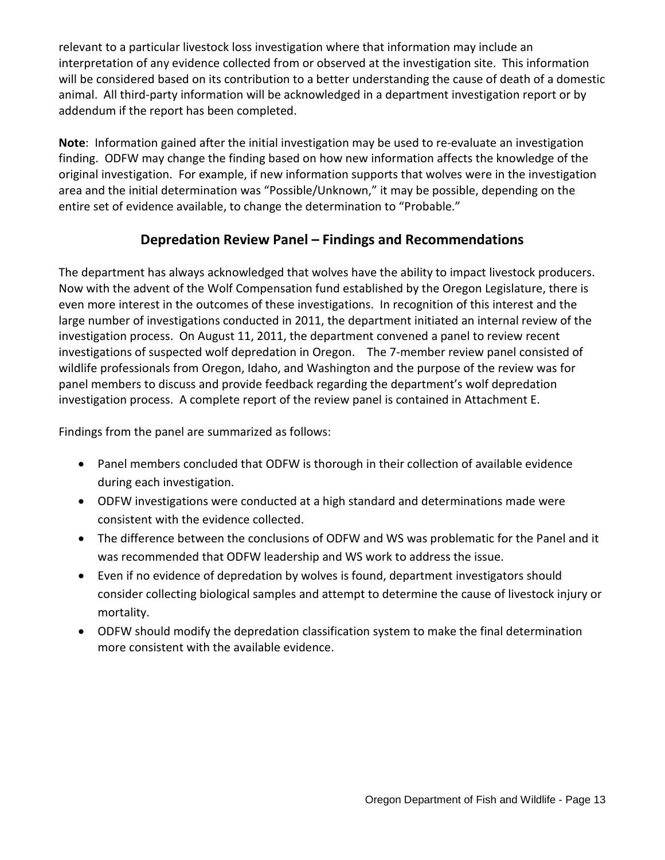relevant to a particular livestock loss investigation where that information may include an interpretation of any evidence collected from or observed at the investigation site. This information will be considered based on its contribution to a better understanding the cause of death of a domestic animal. All third-party information will be acknowledged in a department investigation report or by addendum if the report has been completed.

**Note**: Information gained after the initial investigation may be used to re-evaluate an investigation finding. ODFW may change the finding based on how new information affects the knowledge of the original investigation. For example, if new information supports that wolves were in the investigation area and the initial determination was "Possible/Unknown," it may be possible, depending on the entire set of evidence available, to change the determination to "Probable."

## **Depredation Review Panel – Findings and Recommendations**

The department has always acknowledged that wolves have the ability to impact livestock producers. Now with the advent of the Wolf Compensation fund established by the Oregon Legislature, there is even more interest in the outcomes of these investigations. In recognition of this interest and the large number of investigations conducted in 2011, the department initiated an internal review of the investigation process. On August 11, 2011, the department convened a panel to review recent investigations of suspected wolf depredation in Oregon. The 7-member review panel consisted of wildlife professionals from Oregon, Idaho, and Washington and the purpose of the review was for panel members to discuss and provide feedback regarding the department's wolf depredation investigation process. A complete report of the review panel is contained in Attachment E.

Findings from the panel are summarized as follows:

- Panel members concluded that ODFW is thorough in their collection of available evidence during each investigation.
- ODFW investigations were conducted at a high standard and determinations made were consistent with the evidence collected.
- The difference between the conclusions of ODFW and WS was problematic for the Panel and it was recommended that ODFW leadership and WS work to address the issue.
- Even if no evidence of depredation by wolves is found, department investigators should consider collecting biological samples and attempt to determine the cause of livestock injury or mortality.
- ODFW should modify the depredation classification system to make the final determination more consistent with the available evidence.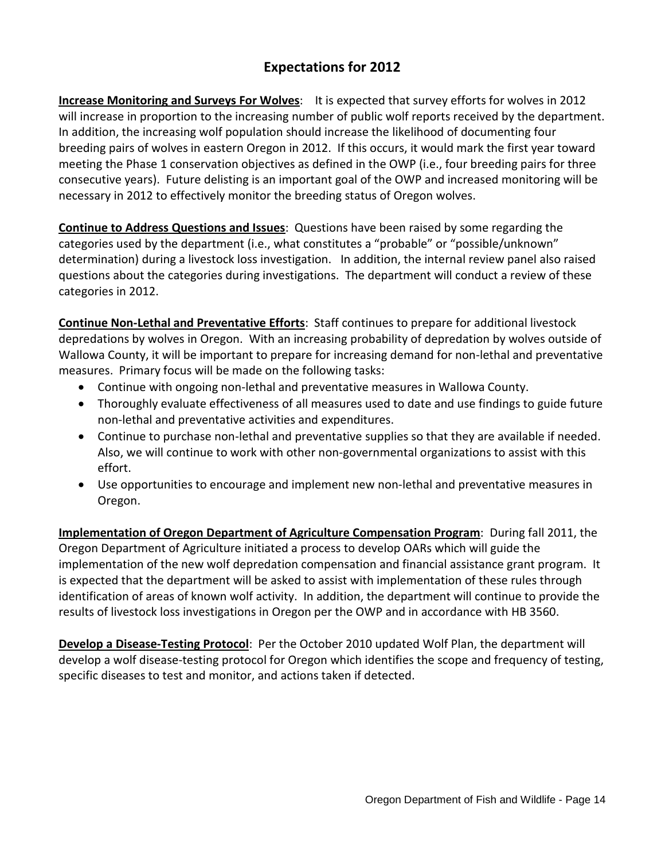# **Expectations for 2012**

**Increase Monitoring and Surveys For Wolves**: It is expected that survey efforts for wolves in 2012 will increase in proportion to the increasing number of public wolf reports received by the department. In addition, the increasing wolf population should increase the likelihood of documenting four breeding pairs of wolves in eastern Oregon in 2012. If this occurs, it would mark the first year toward meeting the Phase 1 conservation objectives as defined in the OWP (i.e., four breeding pairs for three consecutive years). Future delisting is an important goal of the OWP and increased monitoring will be necessary in 2012 to effectively monitor the breeding status of Oregon wolves.

**Continue to Address Questions and Issues**: Questions have been raised by some regarding the categories used by the department (i.e., what constitutes a "probable" or "possible/unknown" determination) during a livestock loss investigation. In addition, the internal review panel also raised questions about the categories during investigations. The department will conduct a review of these categories in 2012.

**Continue Non-Lethal and Preventative Efforts**: Staff continues to prepare for additional livestock depredations by wolves in Oregon. With an increasing probability of depredation by wolves outside of Wallowa County, it will be important to prepare for increasing demand for non-lethal and preventative measures. Primary focus will be made on the following tasks:

- Continue with ongoing non-lethal and preventative measures in Wallowa County.
- Thoroughly evaluate effectiveness of all measures used to date and use findings to guide future non-lethal and preventative activities and expenditures.
- Continue to purchase non-lethal and preventative supplies so that they are available if needed. Also, we will continue to work with other non-governmental organizations to assist with this effort.
- Use opportunities to encourage and implement new non-lethal and preventative measures in Oregon.

**Implementation of Oregon Department of Agriculture Compensation Program**: During fall 2011, the Oregon Department of Agriculture initiated a process to develop OARs which will guide the implementation of the new wolf depredation compensation and financial assistance grant program. It is expected that the department will be asked to assist with implementation of these rules through identification of areas of known wolf activity. In addition, the department will continue to provide the results of livestock loss investigations in Oregon per the OWP and in accordance with HB 3560.

**Develop a Disease-Testing Protocol**: Per the October 2010 updated Wolf Plan, the department will develop a wolf disease-testing protocol for Oregon which identifies the scope and frequency of testing, specific diseases to test and monitor, and actions taken if detected.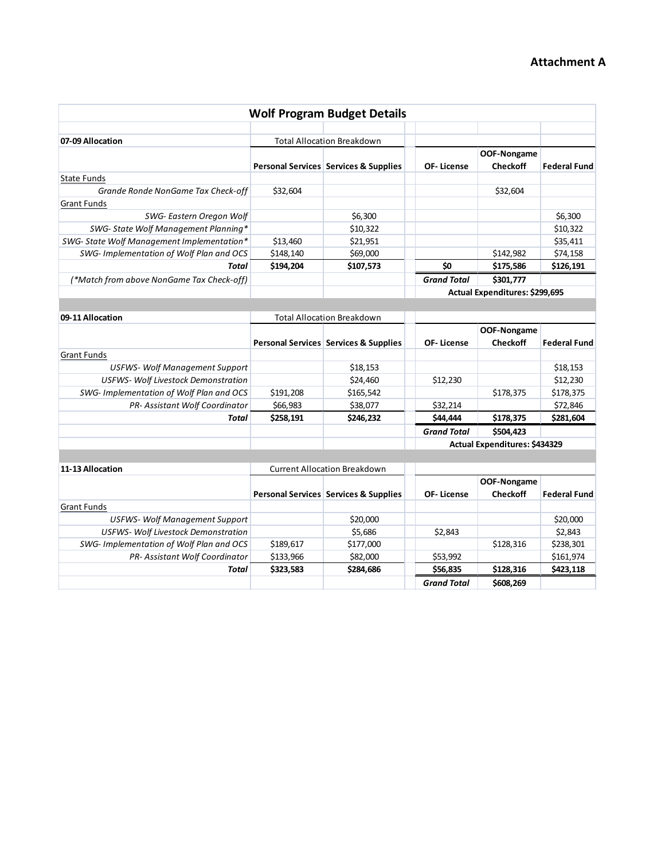#### **Attachment A**

| <b>Wolf Program Budget Details</b>               |           |                                                  |                    |                                |                     |
|--------------------------------------------------|-----------|--------------------------------------------------|--------------------|--------------------------------|---------------------|
| 07-09 Allocation                                 |           | <b>Total Allocation Breakdown</b>                |                    |                                |                     |
|                                                  |           | <b>Personal Services Services &amp; Supplies</b> | <b>OF-License</b>  | OOF-Nongame<br><b>Checkoff</b> | <b>Federal Fund</b> |
| State Funds                                      |           |                                                  |                    |                                |                     |
| Grande Ronde NonGame Tax Check-off               | \$32,604  |                                                  |                    | \$32,604                       |                     |
| <b>Grant Funds</b>                               |           |                                                  |                    |                                |                     |
| SWG- Eastern Oregon Wolf                         |           | \$6,300                                          |                    |                                | \$6,300             |
| SWG-State Wolf Management Planning*              |           | \$10,322                                         |                    |                                | \$10,322            |
| <b>SWG-State Wolf Management Implementation*</b> | \$13,460  | \$21,951                                         |                    |                                | \$35,411            |
| SWG- Implementation of Wolf Plan and OCS         | \$148,140 | \$69,000                                         |                    | \$142,982                      | \$74,158            |
| Total                                            | \$194,204 | \$107,573                                        | \$0                | \$175,586                      | \$126,191           |
| (*Match from above NonGame Tax Check-off)        |           |                                                  | <b>Grand Total</b> | \$301,777                      |                     |
| Actual Expenditures: \$299,695                   |           |                                                  |                    |                                |                     |

| 09-11 Allocation                         | <b>Total Allocation Breakdown</b>                |           |                    |                                      |                     |
|------------------------------------------|--------------------------------------------------|-----------|--------------------|--------------------------------------|---------------------|
|                                          | <b>Personal Services Services &amp; Supplies</b> |           |                    | OOF-Nongame                          |                     |
|                                          |                                                  |           | OF-License         | <b>Checkoff</b>                      | <b>Federal Fund</b> |
| <b>Grant Funds</b>                       |                                                  |           |                    |                                      |                     |
| USFWS-Wolf Management Support            |                                                  | \$18,153  |                    |                                      | \$18,153            |
| USFWS-Wolf Livestock Demonstration       |                                                  | \$24,460  | \$12,230           |                                      | \$12,230            |
| SWG- Implementation of Wolf Plan and OCS | \$191,208                                        | \$165,542 |                    | \$178,375                            | \$178,375           |
| <b>PR-Assistant Wolf Coordinator</b>     | \$66,983                                         | \$38,077  | \$32,214           |                                      | \$72,846            |
| Total                                    | \$258,191                                        | \$246,232 | \$44,444           | \$178,375                            | \$281,604           |
|                                          |                                                  |           | <b>Grand Total</b> | \$504.423                            |                     |
|                                          |                                                  |           |                    | <b>Actual Expenditures: \$434329</b> |                     |

| 11-13 Allocation                           | <b>Current Allocation Breakdown</b>              |           |                    |                                |                     |
|--------------------------------------------|--------------------------------------------------|-----------|--------------------|--------------------------------|---------------------|
|                                            | <b>Personal Services Services &amp; Supplies</b> |           | OF-License         | OOF-Nongame<br><b>Checkoff</b> | <b>Federal Fund</b> |
| Grant Funds                                |                                                  |           |                    |                                |                     |
| USFWS-Wolf Management Support              |                                                  | \$20,000  |                    |                                | \$20,000            |
| <b>USFWS- Wolf Livestock Demonstration</b> |                                                  | \$5,686   | \$2,843            |                                | \$2,843             |
| SWG- Implementation of Wolf Plan and OCS   | \$189,617                                        | \$177,000 |                    | \$128,316                      | \$238,301           |
| <b>PR- Assistant Wolf Coordinator</b>      | \$133,966                                        | \$82,000  | \$53,992           |                                | \$161,974           |
| <b>Total</b>                               | \$323,583                                        | \$284,686 | \$56,835           | \$128,316                      | \$423,118           |
|                                            |                                                  |           | <b>Grand Total</b> | \$608,269                      |                     |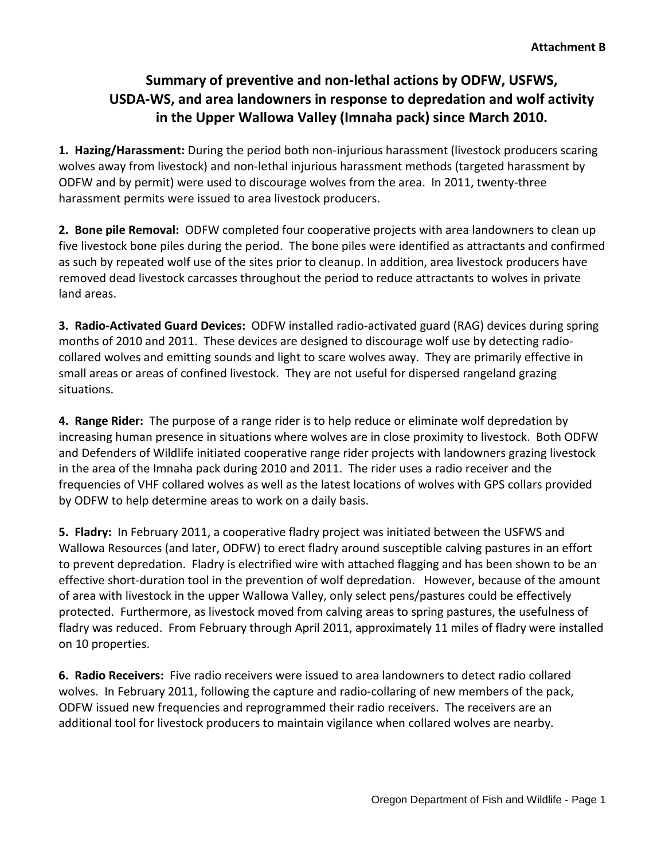# **Summary of preventive and non-lethal actions by ODFW, USFWS, USDA-WS, and area landowners in response to depredation and wolf activity in the Upper Wallowa Valley (Imnaha pack) since March 2010.**

**1. Hazing/Harassment:** During the period both non-injurious harassment (livestock producers scaring wolves away from livestock) and non-lethal injurious harassment methods (targeted harassment by ODFW and by permit) were used to discourage wolves from the area. In 2011, twenty-three harassment permits were issued to area livestock producers.

**2. Bone pile Removal:** ODFW completed four cooperative projects with area landowners to clean up five livestock bone piles during the period. The bone piles were identified as attractants and confirmed as such by repeated wolf use of the sites prior to cleanup. In addition, area livestock producers have removed dead livestock carcasses throughout the period to reduce attractants to wolves in private land areas.

**3. Radio-Activated Guard Devices:** ODFW installed radio-activated guard (RAG) devices during spring months of 2010 and 2011. These devices are designed to discourage wolf use by detecting radiocollared wolves and emitting sounds and light to scare wolves away. They are primarily effective in small areas or areas of confined livestock. They are not useful for dispersed rangeland grazing situations.

**4. Range Rider:** The purpose of a range rider is to help reduce or eliminate wolf depredation by increasing human presence in situations where wolves are in close proximity to livestock. Both ODFW and Defenders of Wildlife initiated cooperative range rider projects with landowners grazing livestock in the area of the Imnaha pack during 2010 and 2011. The rider uses a radio receiver and the frequencies of VHF collared wolves as well as the latest locations of wolves with GPS collars provided by ODFW to help determine areas to work on a daily basis.

**5. Fladry:** In February 2011, a cooperative fladry project was initiated between the USFWS and Wallowa Resources (and later, ODFW) to erect fladry around susceptible calving pastures in an effort to prevent depredation. Fladry is electrified wire with attached flagging and has been shown to be an effective short-duration tool in the prevention of wolf depredation. However, because of the amount of area with livestock in the upper Wallowa Valley, only select pens/pastures could be effectively protected. Furthermore, as livestock moved from calving areas to spring pastures, the usefulness of fladry was reduced. From February through April 2011, approximately 11 miles of fladry were installed on 10 properties.

**6. Radio Receivers:** Five radio receivers were issued to area landowners to detect radio collared wolves. In February 2011, following the capture and radio-collaring of new members of the pack, ODFW issued new frequencies and reprogrammed their radio receivers. The receivers are an additional tool for livestock producers to maintain vigilance when collared wolves are nearby.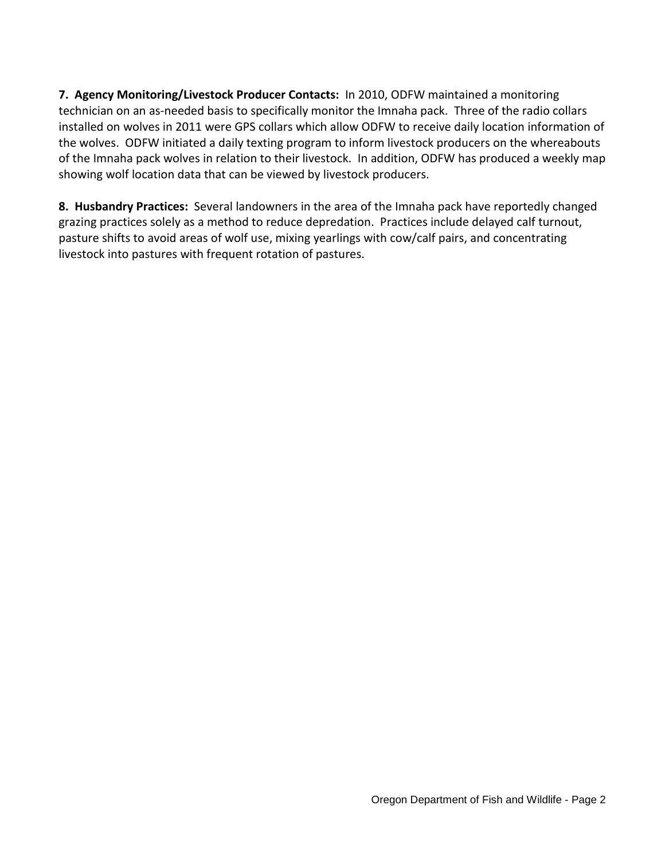**7. Agency Monitoring/Livestock Producer Contacts:** In 2010, ODFW maintained a monitoring technician on an as-needed basis to specifically monitor the Imnaha pack. Three of the radio collars installed on wolves in 2011 were GPS collars which allow ODFW to receive daily location information of the wolves. ODFW initiated a daily texting program to inform livestock producers on the whereabouts of the Imnaha pack wolves in relation to their livestock. In addition, ODFW has produced a weekly map showing wolf location data that can be viewed by livestock producers.

**8. Husbandry Practices:** Several landowners in the area of the Imnaha pack have reportedly changed grazing practices solely as a method to reduce depredation. Practices include delayed calf turnout, pasture shifts to avoid areas of wolf use, mixing yearlings with cow/calf pairs, and concentrating livestock into pastures with frequent rotation of pastures.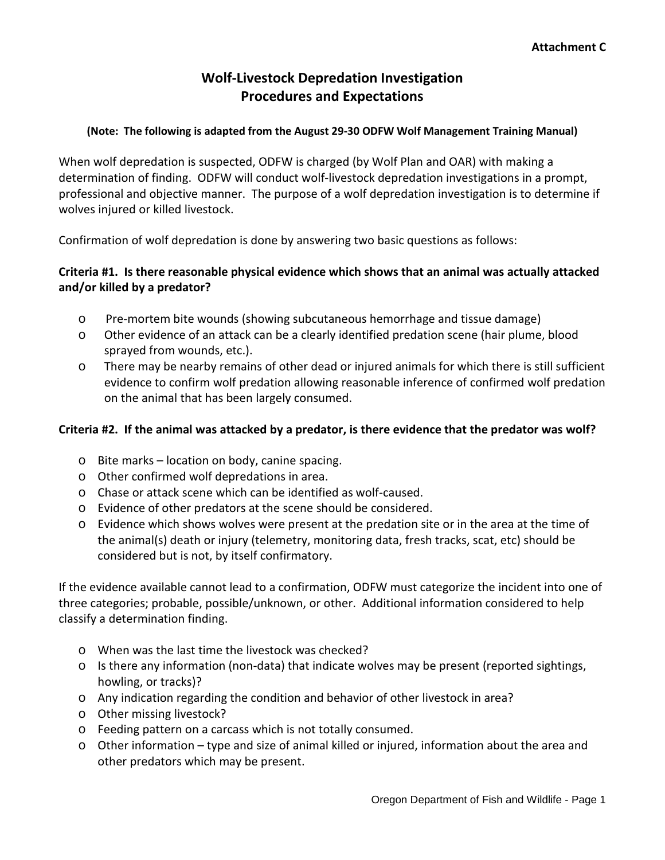## **Wolf-Livestock Depredation Investigation Procedures and Expectations**

#### **(Note: The following is adapted from the August 29-30 ODFW Wolf Management Training Manual)**

When wolf depredation is suspected, ODFW is charged (by Wolf Plan and OAR) with making a determination of finding. ODFW will conduct wolf-livestock depredation investigations in a prompt, professional and objective manner. The purpose of a wolf depredation investigation is to determine if wolves injured or killed livestock.

Confirmation of wolf depredation is done by answering two basic questions as follows:

#### **Criteria #1. Is there reasonable physical evidence which shows that an animal was actually attacked and/or killed by a predator?**

- o Pre-mortem bite wounds (showing subcutaneous hemorrhage and tissue damage)
- o Other evidence of an attack can be a clearly identified predation scene (hair plume, blood sprayed from wounds, etc.).
- o There may be nearby remains of other dead or injured animals for which there is still sufficient evidence to confirm wolf predation allowing reasonable inference of confirmed wolf predation on the animal that has been largely consumed.

#### **Criteria #2. If the animal was attacked by a predator, is there evidence that the predator was wolf?**

- o Bite marks location on body, canine spacing.
- o Other confirmed wolf depredations in area.
- o Chase or attack scene which can be identified as wolf-caused.
- o Evidence of other predators at the scene should be considered.
- o Evidence which shows wolves were present at the predation site or in the area at the time of the animal(s) death or injury (telemetry, monitoring data, fresh tracks, scat, etc) should be considered but is not, by itself confirmatory.

If the evidence available cannot lead to a confirmation, ODFW must categorize the incident into one of three categories; probable, possible/unknown, or other. Additional information considered to help classify a determination finding.

- o When was the last time the livestock was checked?
- o Is there any information (non-data) that indicate wolves may be present (reported sightings, howling, or tracks)?
- o Any indication regarding the condition and behavior of other livestock in area?
- o Other missing livestock?
- o Feeding pattern on a carcass which is not totally consumed.
- o Other information type and size of animal killed or injured, information about the area and other predators which may be present.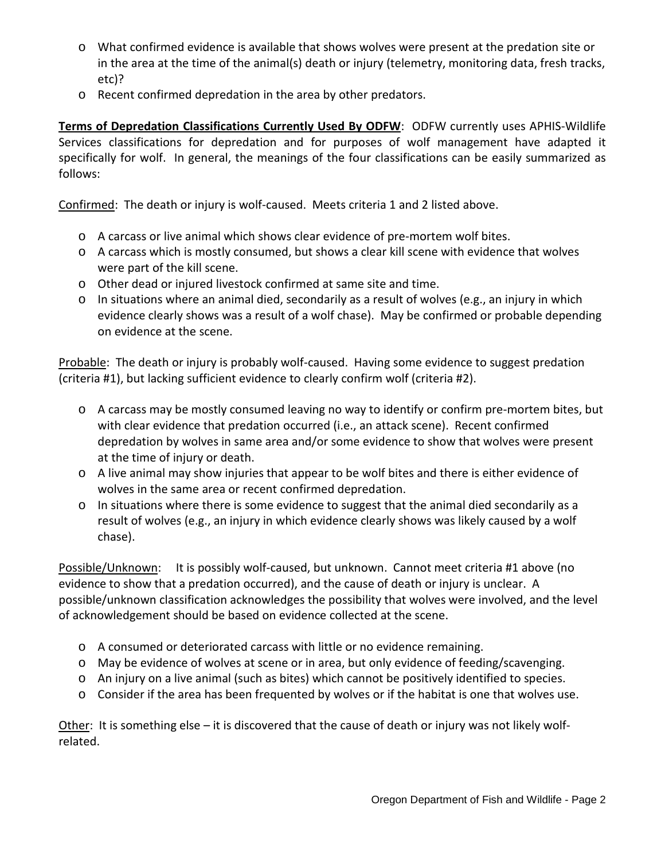- o What confirmed evidence is available that shows wolves were present at the predation site or in the area at the time of the animal(s) death or injury (telemetry, monitoring data, fresh tracks, etc)?
- o Recent confirmed depredation in the area by other predators.

**Terms of Depredation Classifications Currently Used By ODFW**: ODFW currently uses APHIS-Wildlife Services classifications for depredation and for purposes of wolf management have adapted it specifically for wolf. In general, the meanings of the four classifications can be easily summarized as follows:

Confirmed: The death or injury is wolf-caused. Meets criteria 1 and 2 listed above.

- o A carcass or live animal which shows clear evidence of pre-mortem wolf bites.
- o A carcass which is mostly consumed, but shows a clear kill scene with evidence that wolves were part of the kill scene.
- o Other dead or injured livestock confirmed at same site and time.
- o In situations where an animal died, secondarily as a result of wolves (e.g., an injury in which evidence clearly shows was a result of a wolf chase). May be confirmed or probable depending on evidence at the scene.

Probable: The death or injury is probably wolf-caused. Having some evidence to suggest predation (criteria #1), but lacking sufficient evidence to clearly confirm wolf (criteria #2).

- o A carcass may be mostly consumed leaving no way to identify or confirm pre-mortem bites, but with clear evidence that predation occurred (i.e., an attack scene). Recent confirmed depredation by wolves in same area and/or some evidence to show that wolves were present at the time of injury or death.
- o A live animal may show injuries that appear to be wolf bites and there is either evidence of wolves in the same area or recent confirmed depredation.
- $\circ$  In situations where there is some evidence to suggest that the animal died secondarily as a result of wolves (e.g., an injury in which evidence clearly shows was likely caused by a wolf chase).

Possible/Unknown: It is possibly wolf-caused, but unknown. Cannot meet criteria #1 above (no evidence to show that a predation occurred), and the cause of death or injury is unclear. A possible/unknown classification acknowledges the possibility that wolves were involved, and the level of acknowledgement should be based on evidence collected at the scene.

- o A consumed or deteriorated carcass with little or no evidence remaining.
- o May be evidence of wolves at scene or in area, but only evidence of feeding/scavenging.
- o An injury on a live animal (such as bites) which cannot be positively identified to species.
- o Consider if the area has been frequented by wolves or if the habitat is one that wolves use.

Other: It is something else – it is discovered that the cause of death or injury was not likely wolfrelated.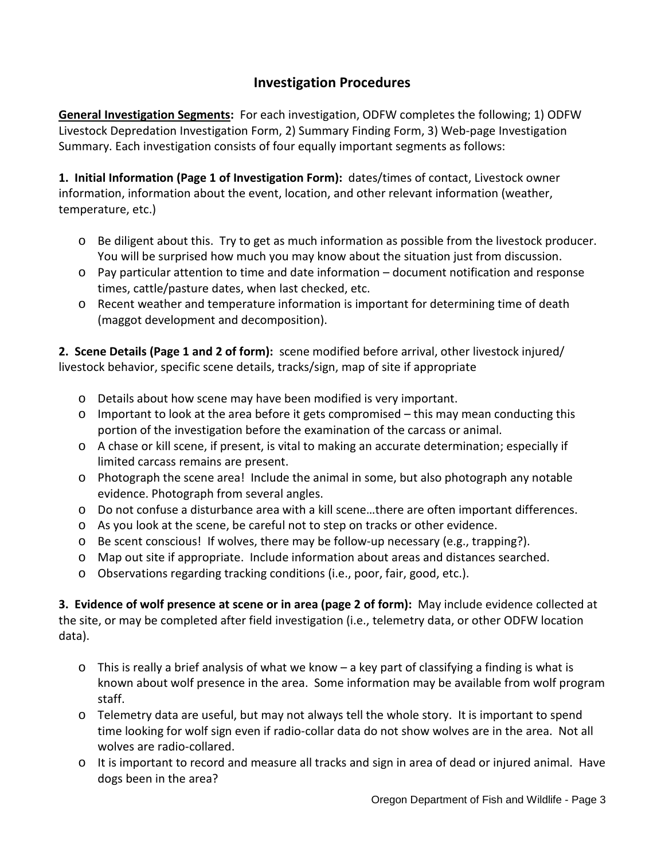# **Investigation Procedures**

**General Investigation Segments:** For each investigation, ODFW completes the following; 1) ODFW Livestock Depredation Investigation Form, 2) Summary Finding Form, 3) Web-page Investigation Summary. Each investigation consists of four equally important segments as follows:

**1. Initial Information (Page 1 of Investigation Form):** dates/times of contact, Livestock owner information, information about the event, location, and other relevant information (weather, temperature, etc.)

- o Be diligent about this. Try to get as much information as possible from the livestock producer. You will be surprised how much you may know about the situation just from discussion.
- o Pay particular attention to time and date information document notification and response times, cattle/pasture dates, when last checked, etc.
- o Recent weather and temperature information is important for determining time of death (maggot development and decomposition).

**2. Scene Details (Page 1 and 2 of form):** scene modified before arrival, other livestock injured/ livestock behavior, specific scene details, tracks/sign, map of site if appropriate

- o Details about how scene may have been modified is very important.
- $\circ$  Important to look at the area before it gets compromised this may mean conducting this portion of the investigation before the examination of the carcass or animal.
- o A chase or kill scene, if present, is vital to making an accurate determination; especially if limited carcass remains are present.
- o Photograph the scene area! Include the animal in some, but also photograph any notable evidence. Photograph from several angles.
- o Do not confuse a disturbance area with a kill scene…there are often important differences.
- o As you look at the scene, be careful not to step on tracks or other evidence.
- $\circ$  Be scent conscious! If wolves, there may be follow-up necessary (e.g., trapping?).
- o Map out site if appropriate. Include information about areas and distances searched.
- o Observations regarding tracking conditions (i.e., poor, fair, good, etc.).

**3. Evidence of wolf presence at scene or in area (page 2 of form):** May include evidence collected at the site, or may be completed after field investigation (i.e., telemetry data, or other ODFW location data).

- $\circ$  This is really a brief analysis of what we know a key part of classifying a finding is what is known about wolf presence in the area. Some information may be available from wolf program staff.
- o Telemetry data are useful, but may not always tell the whole story. It is important to spend time looking for wolf sign even if radio-collar data do not show wolves are in the area. Not all wolves are radio-collared.
- o It is important to record and measure all tracks and sign in area of dead or injured animal. Have dogs been in the area?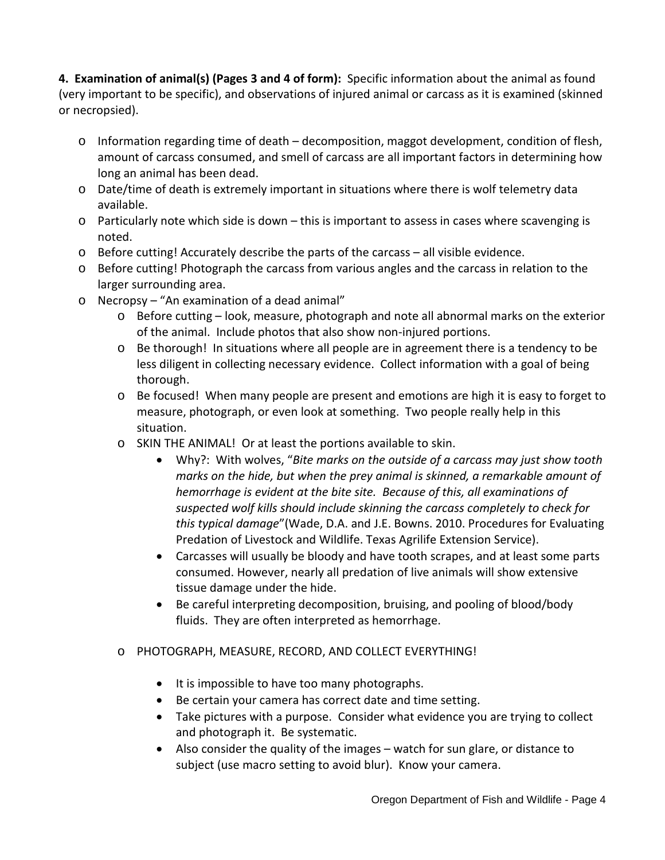**4. Examination of animal(s) (Pages 3 and 4 of form):** Specific information about the animal as found (very important to be specific), and observations of injured animal or carcass as it is examined (skinned or necropsied).

- o Information regarding time of death decomposition, maggot development, condition of flesh, amount of carcass consumed, and smell of carcass are all important factors in determining how long an animal has been dead.
- o Date/time of death is extremely important in situations where there is wolf telemetry data available.
- o Particularly note which side is down this is important to assess in cases where scavenging is noted.
- $\circ$  Before cutting! Accurately describe the parts of the carcass all visible evidence.
- o Before cutting! Photograph the carcass from various angles and the carcass in relation to the larger surrounding area.
- o Necropsy "An examination of a dead animal"
	- o Before cutting look, measure, photograph and note all abnormal marks on the exterior of the animal. Include photos that also show non-injured portions.
	- o Be thorough! In situations where all people are in agreement there is a tendency to be less diligent in collecting necessary evidence. Collect information with a goal of being thorough.
	- o Be focused! When many people are present and emotions are high it is easy to forget to measure, photograph, or even look at something. Two people really help in this situation.
	- o SKIN THE ANIMAL! Or at least the portions available to skin.
		- Why?: With wolves, "*Bite marks on the outside of a carcass may just show tooth marks on the hide, but when the prey animal is skinned, a remarkable amount of hemorrhage is evident at the bite site. Because of this, all examinations of suspected wolf kills should include skinning the carcass completely to check for this typical damage*"(Wade, D.A. and J.E. Bowns. 2010. Procedures for Evaluating Predation of Livestock and Wildlife. Texas Agrilife Extension Service).
		- Carcasses will usually be bloody and have tooth scrapes, and at least some parts consumed. However, nearly all predation of live animals will show extensive tissue damage under the hide.
		- Be careful interpreting decomposition, bruising, and pooling of blood/body fluids. They are often interpreted as hemorrhage.
	- o PHOTOGRAPH, MEASURE, RECORD, AND COLLECT EVERYTHING!
		- It is impossible to have too many photographs.
		- Be certain your camera has correct date and time setting.
		- Take pictures with a purpose. Consider what evidence you are trying to collect and photograph it. Be systematic.
		- Also consider the quality of the images watch for sun glare, or distance to subject (use macro setting to avoid blur). Know your camera.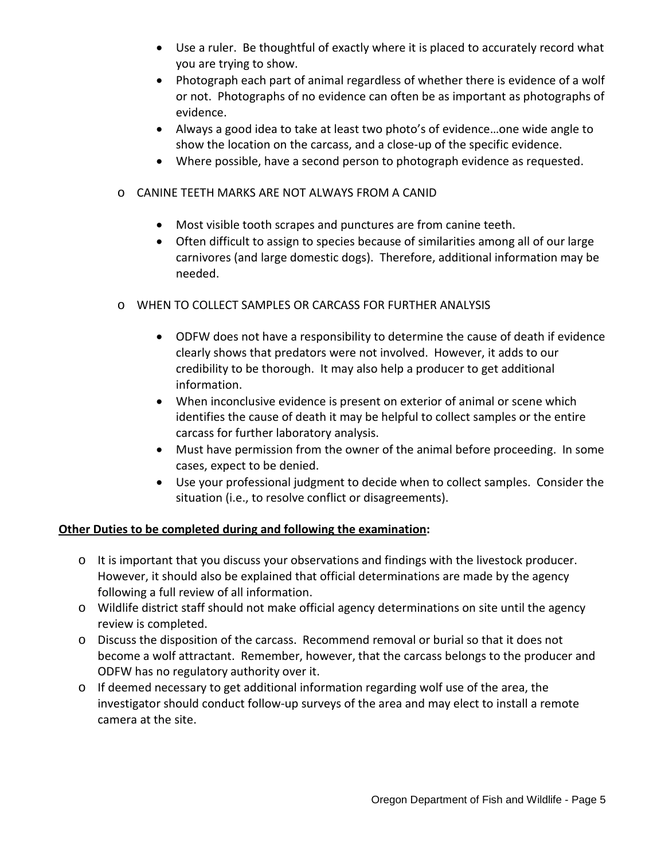- Use a ruler. Be thoughtful of exactly where it is placed to accurately record what you are trying to show.
- Photograph each part of animal regardless of whether there is evidence of a wolf or not. Photographs of no evidence can often be as important as photographs of evidence.
- Always a good idea to take at least two photo's of evidence…one wide angle to show the location on the carcass, and a close-up of the specific evidence.
- Where possible, have a second person to photograph evidence as requested.
- o CANINE TEETH MARKS ARE NOT ALWAYS FROM A CANID
	- Most visible tooth scrapes and punctures are from canine teeth.
	- Often difficult to assign to species because of similarities among all of our large carnivores (and large domestic dogs). Therefore, additional information may be needed.
- o WHEN TO COLLECT SAMPLES OR CARCASS FOR FURTHER ANALYSIS
	- ODFW does not have a responsibility to determine the cause of death if evidence clearly shows that predators were not involved. However, it adds to our credibility to be thorough. It may also help a producer to get additional information.
	- When inconclusive evidence is present on exterior of animal or scene which identifies the cause of death it may be helpful to collect samples or the entire carcass for further laboratory analysis.
	- Must have permission from the owner of the animal before proceeding. In some cases, expect to be denied.
	- Use your professional judgment to decide when to collect samples. Consider the situation (i.e., to resolve conflict or disagreements).

#### **Other Duties to be completed during and following the examination:**

- o It is important that you discuss your observations and findings with the livestock producer. However, it should also be explained that official determinations are made by the agency following a full review of all information.
- o Wildlife district staff should not make official agency determinations on site until the agency review is completed.
- o Discuss the disposition of the carcass. Recommend removal or burial so that it does not become a wolf attractant. Remember, however, that the carcass belongs to the producer and ODFW has no regulatory authority over it.
- o If deemed necessary to get additional information regarding wolf use of the area, the investigator should conduct follow-up surveys of the area and may elect to install a remote camera at the site.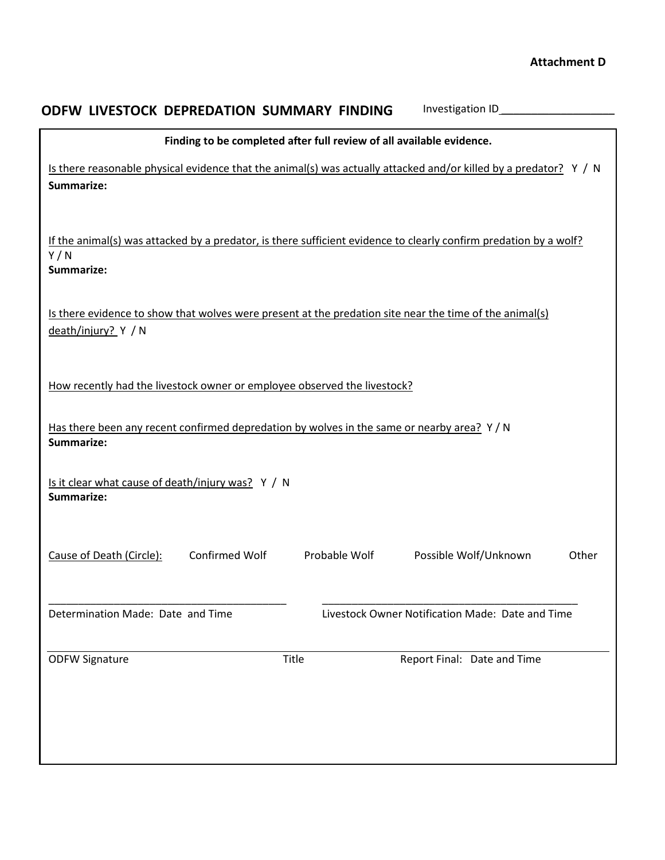| ODFW LIVESTOCK DEPREDATION SUMMARY FINDING                                                                                             |               |                                                  |       |
|----------------------------------------------------------------------------------------------------------------------------------------|---------------|--------------------------------------------------|-------|
| Finding to be completed after full review of all available evidence.                                                                   |               |                                                  |       |
| Is there reasonable physical evidence that the animal(s) was actually attacked and/or killed by a predator? Y / N<br>Summarize:        |               |                                                  |       |
| If the animal(s) was attacked by a predator, is there sufficient evidence to clearly confirm predation by a wolf?<br>Y/N<br>Summarize: |               |                                                  |       |
| Is there evidence to show that wolves were present at the predation site near the time of the animal(s)<br>death/injury? Y / N         |               |                                                  |       |
| How recently had the livestock owner or employee observed the livestock?                                                               |               |                                                  |       |
| Has there been any recent confirmed depredation by wolves in the same or nearby area? Y/N<br>Summarize:                                |               |                                                  |       |
| Is it clear what cause of death/injury was? Y / N<br>Summarize:                                                                        |               |                                                  |       |
| Confirmed Wolf<br>Cause of Death (Circle):                                                                                             | Probable Wolf | Possible Wolf/Unknown                            | Other |
| Determination Made: Date and Time                                                                                                      |               | Livestock Owner Notification Made: Date and Time |       |
| Title<br><b>ODFW Signature</b>                                                                                                         |               | Report Final: Date and Time                      |       |
|                                                                                                                                        |               |                                                  |       |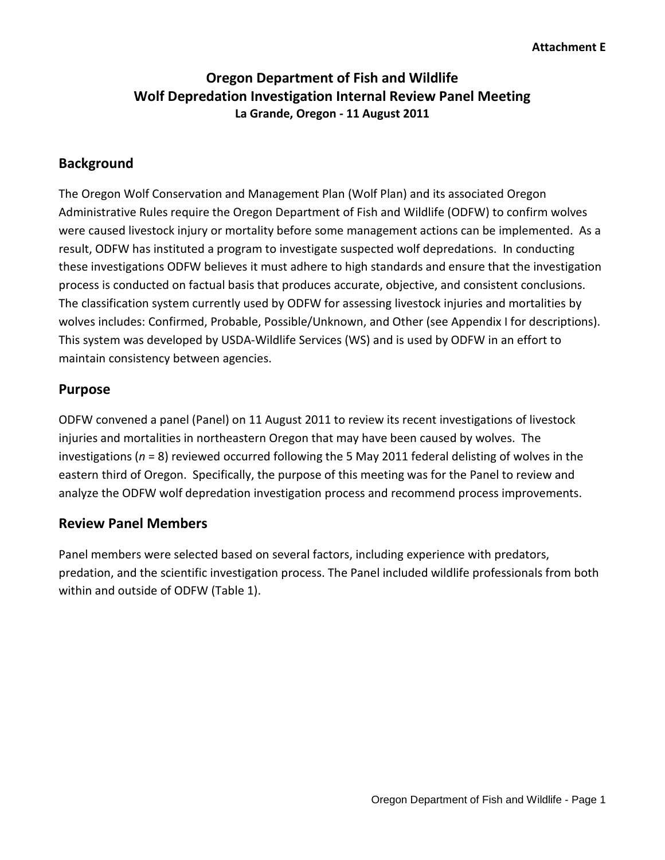# **Oregon Department of Fish and Wildlife Wolf Depredation Investigation Internal Review Panel Meeting La Grande, Oregon - 11 August 2011**

## **Background**

The Oregon Wolf Conservation and Management Plan (Wolf Plan) and its associated Oregon Administrative Rules require the Oregon Department of Fish and Wildlife (ODFW) to confirm wolves were caused livestock injury or mortality before some management actions can be implemented. As a result, ODFW has instituted a program to investigate suspected wolf depredations. In conducting these investigations ODFW believes it must adhere to high standards and ensure that the investigation process is conducted on factual basis that produces accurate, objective, and consistent conclusions. The classification system currently used by ODFW for assessing livestock injuries and mortalities by wolves includes: Confirmed, Probable, Possible/Unknown, and Other (see Appendix I for descriptions). This system was developed by USDA-Wildlife Services (WS) and is used by ODFW in an effort to maintain consistency between agencies.

## **Purpose**

ODFW convened a panel (Panel) on 11 August 2011 to review its recent investigations of livestock injuries and mortalities in northeastern Oregon that may have been caused by wolves. The investigations (*n* = 8) reviewed occurred following the 5 May 2011 federal delisting of wolves in the eastern third of Oregon. Specifically, the purpose of this meeting was for the Panel to review and analyze the ODFW wolf depredation investigation process and recommend process improvements.

## **Review Panel Members**

Panel members were selected based on several factors, including experience with predators, predation, and the scientific investigation process. The Panel included wildlife professionals from both within and outside of ODFW (Table 1).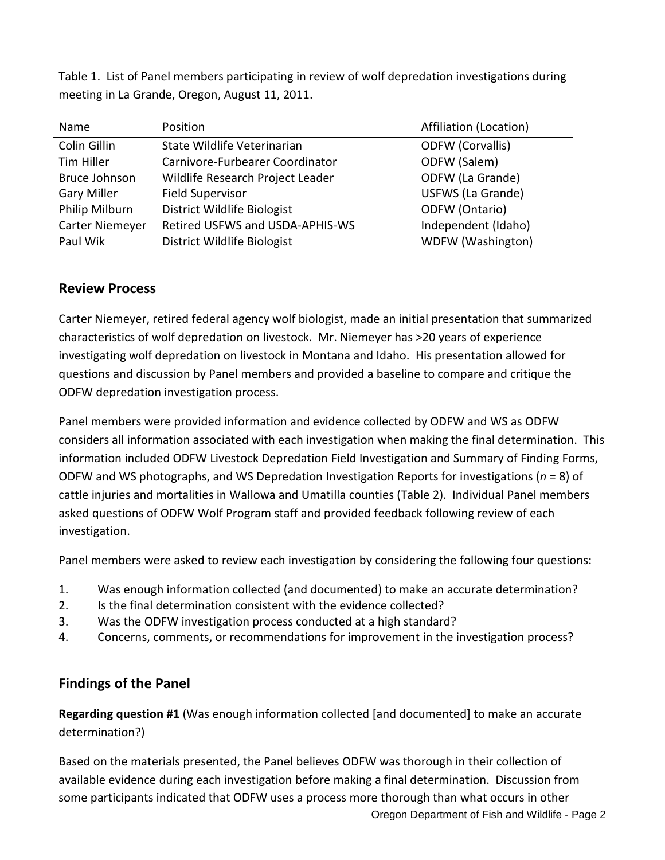Table 1. List of Panel members participating in review of wolf depredation investigations during meeting in La Grande, Oregon, August 11, 2011.

| Name                   | Position                         | Affiliation (Location)  |
|------------------------|----------------------------------|-------------------------|
| Colin Gillin           | State Wildlife Veterinarian      | <b>ODFW</b> (Corvallis) |
| Tim Hiller             | Carnivore-Furbearer Coordinator  | ODFW (Salem)            |
| <b>Bruce Johnson</b>   | Wildlife Research Project Leader | ODFW (La Grande)        |
| <b>Gary Miller</b>     | <b>Field Supervisor</b>          | USFWS (La Grande)       |
| Philip Milburn         | District Wildlife Biologist      | ODFW (Ontario)          |
| <b>Carter Niemeyer</b> | Retired USFWS and USDA-APHIS-WS  | Independent (Idaho)     |
| Paul Wik               | District Wildlife Biologist      | WDFW (Washington)       |

## **Review Process**

Carter Niemeyer, retired federal agency wolf biologist, made an initial presentation that summarized characteristics of wolf depredation on livestock. Mr. Niemeyer has >20 years of experience investigating wolf depredation on livestock in Montana and Idaho. His presentation allowed for questions and discussion by Panel members and provided a baseline to compare and critique the ODFW depredation investigation process.

Panel members were provided information and evidence collected by ODFW and WS as ODFW considers all information associated with each investigation when making the final determination. This information included ODFW Livestock Depredation Field Investigation and Summary of Finding Forms, ODFW and WS photographs, and WS Depredation Investigation Reports for investigations (*n* = 8) of cattle injuries and mortalities in Wallowa and Umatilla counties (Table 2). Individual Panel members asked questions of ODFW Wolf Program staff and provided feedback following review of each investigation.

Panel members were asked to review each investigation by considering the following four questions:

- 1. Was enough information collected (and documented) to make an accurate determination?
- 2. Is the final determination consistent with the evidence collected?
- 3. Was the ODFW investigation process conducted at a high standard?
- 4. Concerns, comments, or recommendations for improvement in the investigation process?

## **Findings of the Panel**

**Regarding question #1** (Was enough information collected [and documented] to make an accurate determination?)

Oregon Department of Fish and Wildlife - Page 2 Based on the materials presented, the Panel believes ODFW was thorough in their collection of available evidence during each investigation before making a final determination. Discussion from some participants indicated that ODFW uses a process more thorough than what occurs in other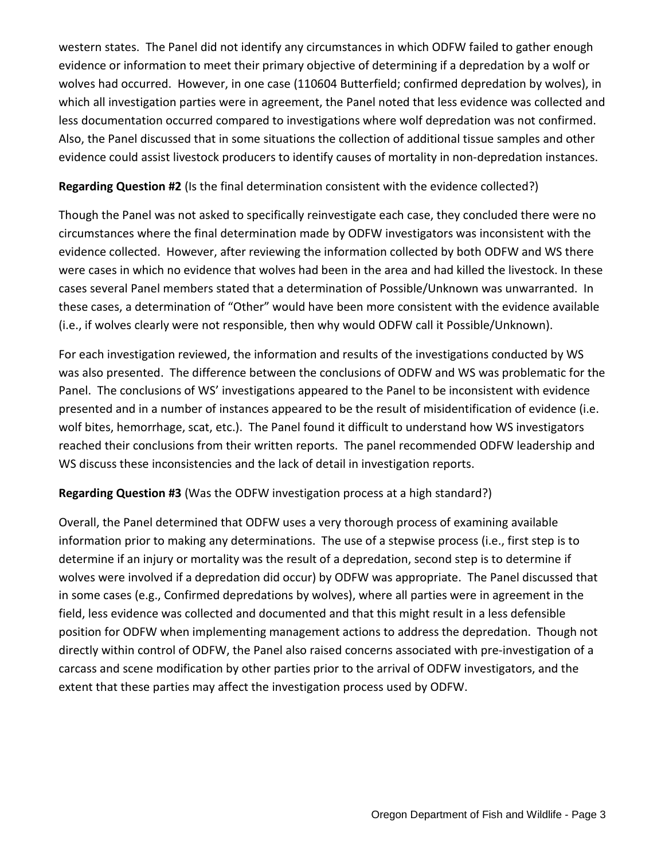western states. The Panel did not identify any circumstances in which ODFW failed to gather enough evidence or information to meet their primary objective of determining if a depredation by a wolf or wolves had occurred. However, in one case (110604 Butterfield; confirmed depredation by wolves), in which all investigation parties were in agreement, the Panel noted that less evidence was collected and less documentation occurred compared to investigations where wolf depredation was not confirmed. Also, the Panel discussed that in some situations the collection of additional tissue samples and other evidence could assist livestock producers to identify causes of mortality in non-depredation instances.

#### **Regarding Question #2** (Is the final determination consistent with the evidence collected?)

Though the Panel was not asked to specifically reinvestigate each case, they concluded there were no circumstances where the final determination made by ODFW investigators was inconsistent with the evidence collected. However, after reviewing the information collected by both ODFW and WS there were cases in which no evidence that wolves had been in the area and had killed the livestock. In these cases several Panel members stated that a determination of Possible/Unknown was unwarranted. In these cases, a determination of "Other" would have been more consistent with the evidence available (i.e., if wolves clearly were not responsible, then why would ODFW call it Possible/Unknown).

For each investigation reviewed, the information and results of the investigations conducted by WS was also presented. The difference between the conclusions of ODFW and WS was problematic for the Panel. The conclusions of WS' investigations appeared to the Panel to be inconsistent with evidence presented and in a number of instances appeared to be the result of misidentification of evidence (i.e. wolf bites, hemorrhage, scat, etc.). The Panel found it difficult to understand how WS investigators reached their conclusions from their written reports. The panel recommended ODFW leadership and WS discuss these inconsistencies and the lack of detail in investigation reports.

#### **Regarding Question #3** (Was the ODFW investigation process at a high standard?)

Overall, the Panel determined that ODFW uses a very thorough process of examining available information prior to making any determinations. The use of a stepwise process (i.e., first step is to determine if an injury or mortality was the result of a depredation, second step is to determine if wolves were involved if a depredation did occur) by ODFW was appropriate. The Panel discussed that in some cases (e.g., Confirmed depredations by wolves), where all parties were in agreement in the field, less evidence was collected and documented and that this might result in a less defensible position for ODFW when implementing management actions to address the depredation. Though not directly within control of ODFW, the Panel also raised concerns associated with pre-investigation of a carcass and scene modification by other parties prior to the arrival of ODFW investigators, and the extent that these parties may affect the investigation process used by ODFW.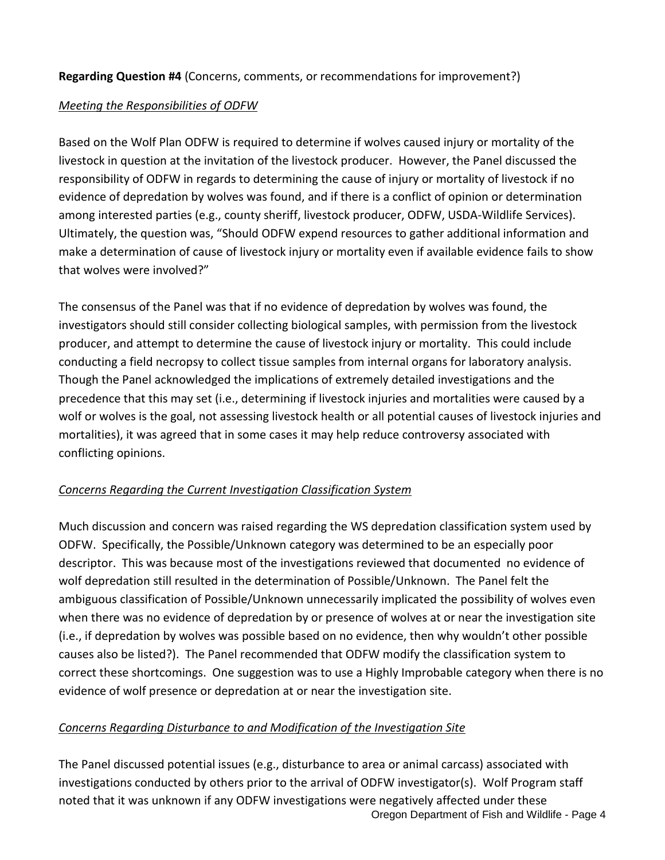### **Regarding Question #4** (Concerns, comments, or recommendations for improvement?)

### *Meeting the Responsibilities of ODFW*

Based on the Wolf Plan ODFW is required to determine if wolves caused injury or mortality of the livestock in question at the invitation of the livestock producer. However, the Panel discussed the responsibility of ODFW in regards to determining the cause of injury or mortality of livestock if no evidence of depredation by wolves was found, and if there is a conflict of opinion or determination among interested parties (e.g., county sheriff, livestock producer, ODFW, USDA-Wildlife Services). Ultimately, the question was, "Should ODFW expend resources to gather additional information and make a determination of cause of livestock injury or mortality even if available evidence fails to show that wolves were involved?"

The consensus of the Panel was that if no evidence of depredation by wolves was found, the investigators should still consider collecting biological samples, with permission from the livestock producer, and attempt to determine the cause of livestock injury or mortality. This could include conducting a field necropsy to collect tissue samples from internal organs for laboratory analysis. Though the Panel acknowledged the implications of extremely detailed investigations and the precedence that this may set (i.e., determining if livestock injuries and mortalities were caused by a wolf or wolves is the goal, not assessing livestock health or all potential causes of livestock injuries and mortalities), it was agreed that in some cases it may help reduce controversy associated with conflicting opinions.

## *Concerns Regarding the Current Investigation Classification System*

Much discussion and concern was raised regarding the WS depredation classification system used by ODFW. Specifically, the Possible/Unknown category was determined to be an especially poor descriptor. This was because most of the investigations reviewed that documented no evidence of wolf depredation still resulted in the determination of Possible/Unknown. The Panel felt the ambiguous classification of Possible/Unknown unnecessarily implicated the possibility of wolves even when there was no evidence of depredation by or presence of wolves at or near the investigation site (i.e., if depredation by wolves was possible based on no evidence, then why wouldn't other possible causes also be listed?). The Panel recommended that ODFW modify the classification system to correct these shortcomings. One suggestion was to use a Highly Improbable category when there is no evidence of wolf presence or depredation at or near the investigation site.

#### *Concerns Regarding Disturbance to and Modification of the Investigation Site*

Oregon Department of Fish and Wildlife - Page 4 The Panel discussed potential issues (e.g., disturbance to area or animal carcass) associated with investigations conducted by others prior to the arrival of ODFW investigator(s). Wolf Program staff noted that it was unknown if any ODFW investigations were negatively affected under these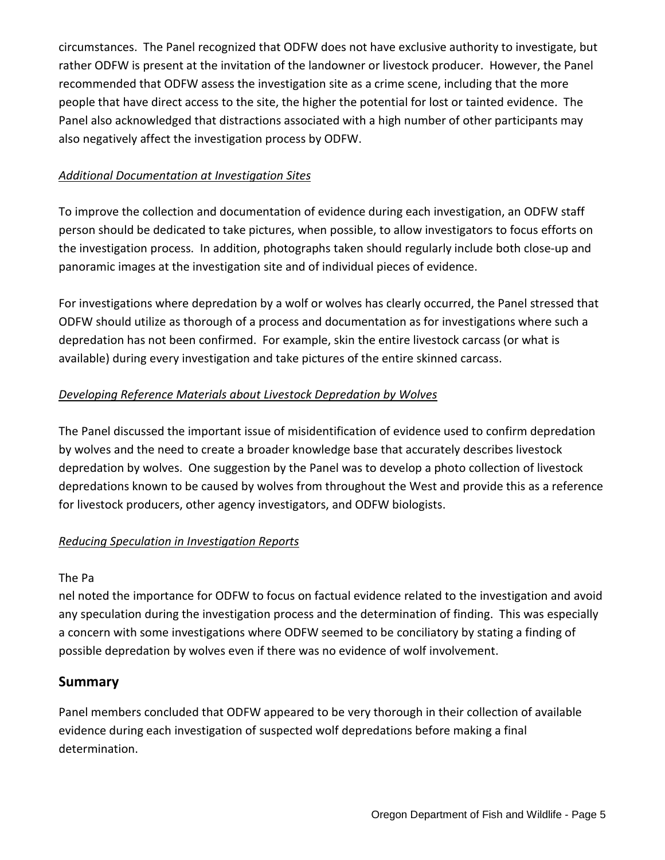circumstances. The Panel recognized that ODFW does not have exclusive authority to investigate, but rather ODFW is present at the invitation of the landowner or livestock producer. However, the Panel recommended that ODFW assess the investigation site as a crime scene, including that the more people that have direct access to the site, the higher the potential for lost or tainted evidence. The Panel also acknowledged that distractions associated with a high number of other participants may also negatively affect the investigation process by ODFW.

### *Additional Documentation at Investigation Sites*

To improve the collection and documentation of evidence during each investigation, an ODFW staff person should be dedicated to take pictures, when possible, to allow investigators to focus efforts on the investigation process. In addition, photographs taken should regularly include both close-up and panoramic images at the investigation site and of individual pieces of evidence.

For investigations where depredation by a wolf or wolves has clearly occurred, the Panel stressed that ODFW should utilize as thorough of a process and documentation as for investigations where such a depredation has not been confirmed. For example, skin the entire livestock carcass (or what is available) during every investigation and take pictures of the entire skinned carcass.

## *Developing Reference Materials about Livestock Depredation by Wolves*

The Panel discussed the important issue of misidentification of evidence used to confirm depredation by wolves and the need to create a broader knowledge base that accurately describes livestock depredation by wolves. One suggestion by the Panel was to develop a photo collection of livestock depredations known to be caused by wolves from throughout the West and provide this as a reference for livestock producers, other agency investigators, and ODFW biologists.

## *Reducing Speculation in Investigation Reports*

#### The Pa

nel noted the importance for ODFW to focus on factual evidence related to the investigation and avoid any speculation during the investigation process and the determination of finding. This was especially a concern with some investigations where ODFW seemed to be conciliatory by stating a finding of possible depredation by wolves even if there was no evidence of wolf involvement.

## **Summary**

Panel members concluded that ODFW appeared to be very thorough in their collection of available evidence during each investigation of suspected wolf depredations before making a final determination.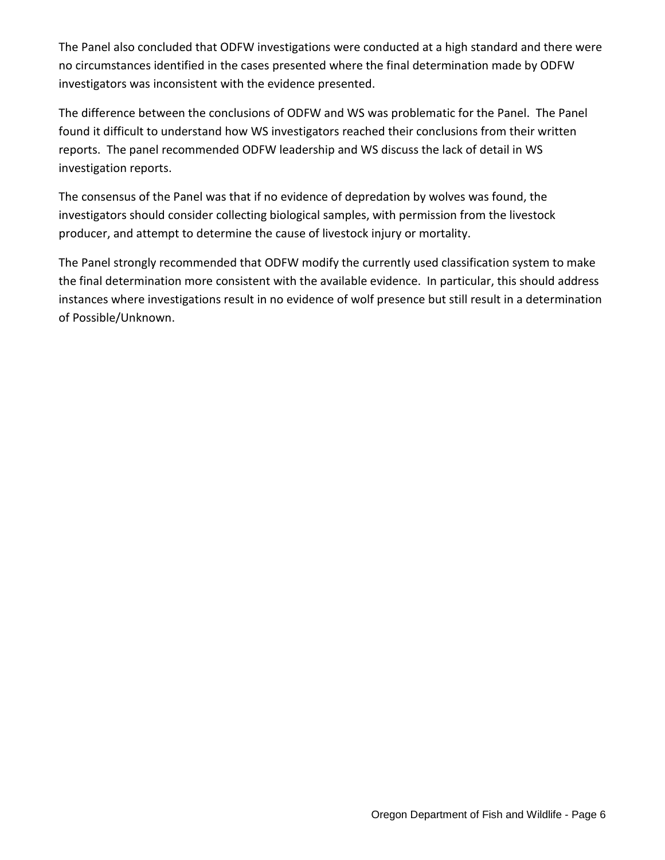The Panel also concluded that ODFW investigations were conducted at a high standard and there were no circumstances identified in the cases presented where the final determination made by ODFW investigators was inconsistent with the evidence presented.

The difference between the conclusions of ODFW and WS was problematic for the Panel. The Panel found it difficult to understand how WS investigators reached their conclusions from their written reports. The panel recommended ODFW leadership and WS discuss the lack of detail in WS investigation reports.

The consensus of the Panel was that if no evidence of depredation by wolves was found, the investigators should consider collecting biological samples, with permission from the livestock producer, and attempt to determine the cause of livestock injury or mortality.

The Panel strongly recommended that ODFW modify the currently used classification system to make the final determination more consistent with the available evidence. In particular, this should address instances where investigations result in no evidence of wolf presence but still result in a determination of Possible/Unknown.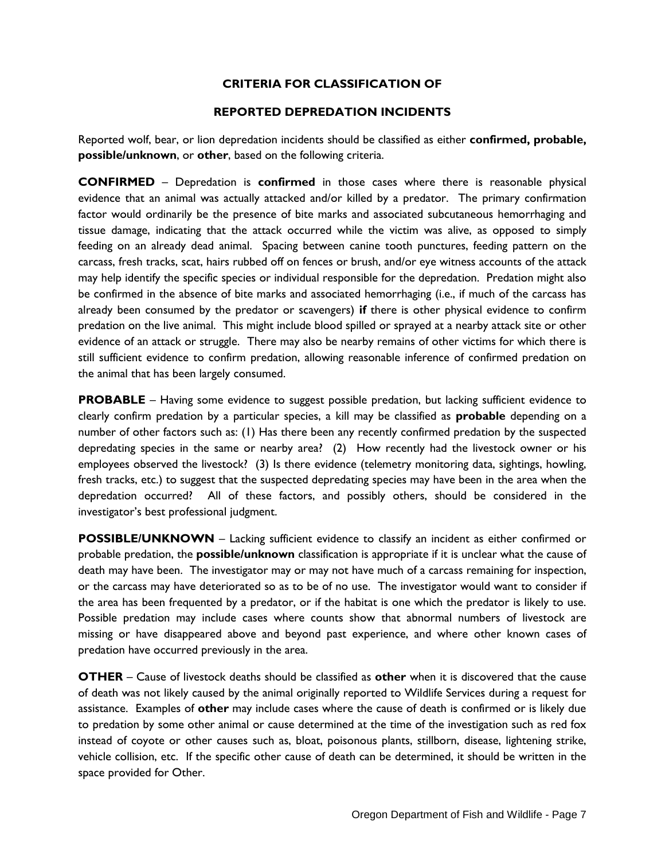#### **CRITERIA FOR CLASSIFICATION OF**

#### **REPORTED DEPREDATION INCIDENTS**

Reported wolf, bear, or lion depredation incidents should be classified as either **confirmed, probable, possible/unknown**, or **other**, based on the following criteria.

**CONFIRMED** – Depredation is **confirmed** in those cases where there is reasonable physical evidence that an animal was actually attacked and/or killed by a predator. The primary confirmation factor would ordinarily be the presence of bite marks and associated subcutaneous hemorrhaging and tissue damage, indicating that the attack occurred while the victim was alive, as opposed to simply feeding on an already dead animal. Spacing between canine tooth punctures, feeding pattern on the carcass, fresh tracks, scat, hairs rubbed off on fences or brush, and/or eye witness accounts of the attack may help identify the specific species or individual responsible for the depredation. Predation might also be confirmed in the absence of bite marks and associated hemorrhaging (i.e., if much of the carcass has already been consumed by the predator or scavengers) **if** there is other physical evidence to confirm predation on the live animal. This might include blood spilled or sprayed at a nearby attack site or other evidence of an attack or struggle. There may also be nearby remains of other victims for which there is still sufficient evidence to confirm predation, allowing reasonable inference of confirmed predation on the animal that has been largely consumed.

**PROBABLE** – Having some evidence to suggest possible predation, but lacking sufficient evidence to clearly confirm predation by a particular species, a kill may be classified as **probable** depending on a number of other factors such as: (1) Has there been any recently confirmed predation by the suspected depredating species in the same or nearby area? (2) How recently had the livestock owner or his employees observed the livestock? (3) Is there evidence (telemetry monitoring data, sightings, howling, fresh tracks, etc.) to suggest that the suspected depredating species may have been in the area when the depredation occurred? All of these factors, and possibly others, should be considered in the investigator's best professional judgment.

**POSSIBLE/UNKNOWN** – Lacking sufficient evidence to classify an incident as either confirmed or probable predation, the **possible/unknown** classification is appropriate if it is unclear what the cause of death may have been. The investigator may or may not have much of a carcass remaining for inspection, or the carcass may have deteriorated so as to be of no use. The investigator would want to consider if the area has been frequented by a predator, or if the habitat is one which the predator is likely to use. Possible predation may include cases where counts show that abnormal numbers of livestock are missing or have disappeared above and beyond past experience, and where other known cases of predation have occurred previously in the area.

**OTHER** – Cause of livestock deaths should be classified as **other** when it is discovered that the cause of death was not likely caused by the animal originally reported to Wildlife Services during a request for assistance. Examples of **other** may include cases where the cause of death is confirmed or is likely due to predation by some other animal or cause determined at the time of the investigation such as red fox instead of coyote or other causes such as, bloat, poisonous plants, stillborn, disease, lightening strike, vehicle collision, etc. If the specific other cause of death can be determined, it should be written in the space provided for Other.